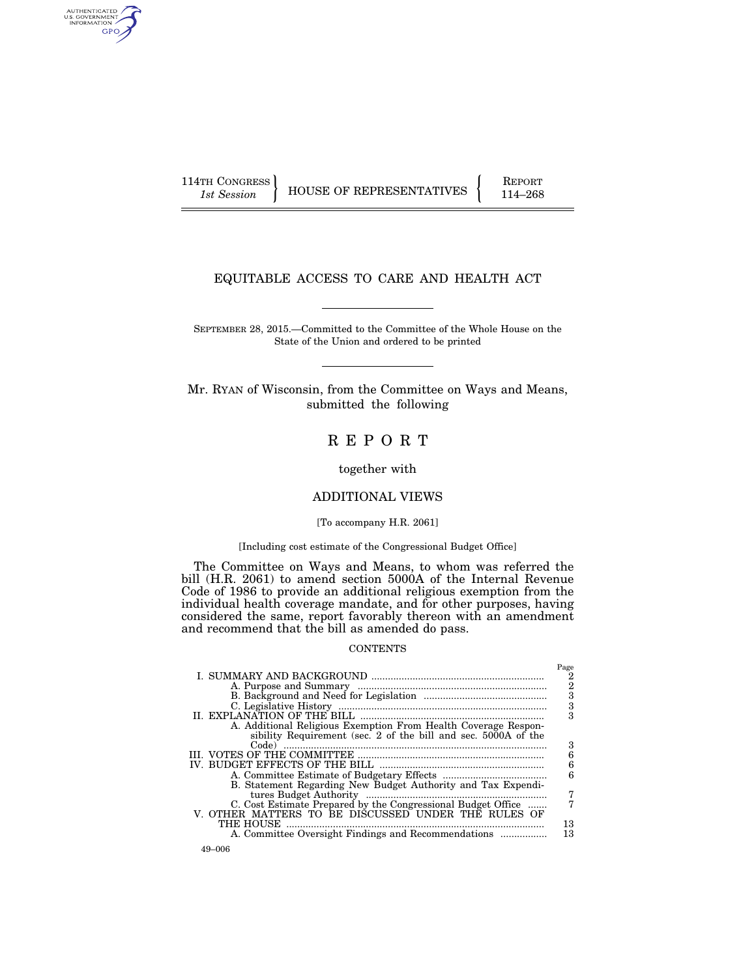AUTHENTICATED<br>U.S. GOVERNMENT<br>INFORMATION GPO

114TH CONGRESS HOUSE OF REPRESENTATIVES FEPORT 114–268

# EQUITABLE ACCESS TO CARE AND HEALTH ACT

SEPTEMBER 28, 2015.—Committed to the Committee of the Whole House on the State of the Union and ordered to be printed

Mr. RYAN of Wisconsin, from the Committee on Ways and Means, submitted the following

R E P O R T

together with

## ADDITIONAL VIEWS

## [To accompany H.R. 2061]

#### [Including cost estimate of the Congressional Budget Office]

The Committee on Ways and Means, to whom was referred the bill (H.R. 2061) to amend section 5000A of the Internal Revenue Code of 1986 to provide an additional religious exemption from the individual health coverage mandate, and for other purposes, having considered the same, report favorably thereon with an amendment and recommend that the bill as amended do pass.

#### **CONTENTS**

|                                                                                                                                  | Page<br>2<br>2 |
|----------------------------------------------------------------------------------------------------------------------------------|----------------|
|                                                                                                                                  | 3<br>3         |
|                                                                                                                                  | 3              |
| A. Additional Religious Exemption From Health Coverage Respon-<br>sibility Requirement (sec. 2 of the bill and sec. 5000A of the |                |
| Code)                                                                                                                            | 3<br>6         |
|                                                                                                                                  | 6<br>6         |
| B. Statement Regarding New Budget Authority and Tax Expendi-                                                                     | 7              |
| C. Cost Estimate Prepared by the Congressional Budget Office<br>V. OTHER MATTERS TO BE DISCUSSED UNDER THE RULES OF              |                |
| THE HOUSE<br>A. Committee Oversight Findings and Recommendations                                                                 | 13<br>13       |
|                                                                                                                                  |                |

49–006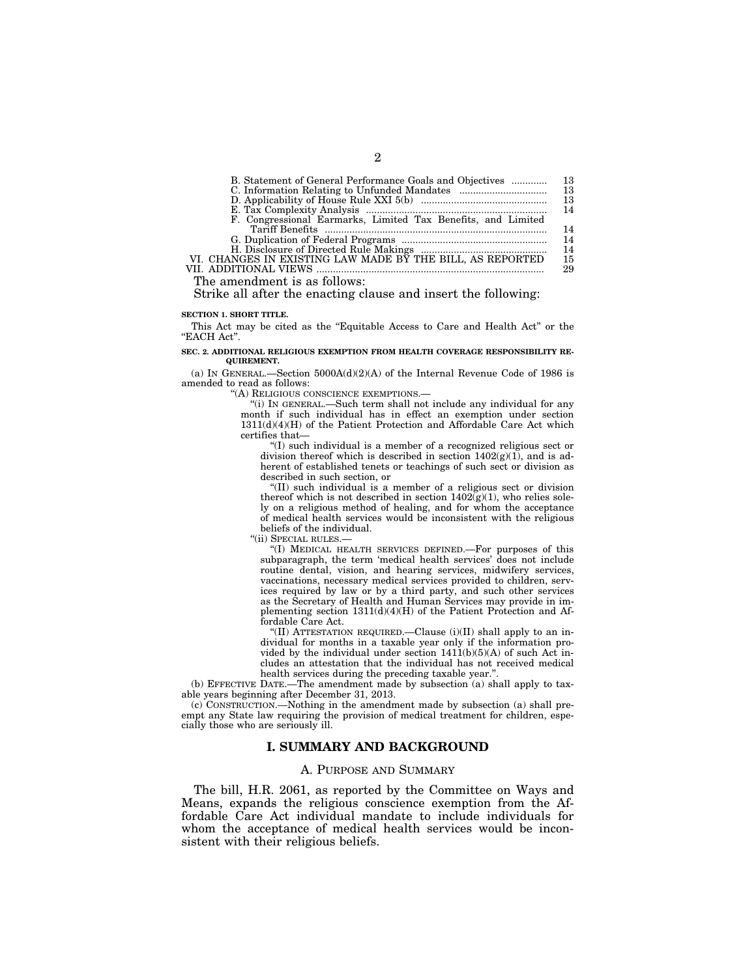| B. Statement of General Performance Goals and Objectives     | 13 |
|--------------------------------------------------------------|----|
|                                                              | 13 |
|                                                              | 13 |
|                                                              | 14 |
| F. Congressional Earmarks, Limited Tax Benefits, and Limited |    |
|                                                              | 14 |
|                                                              | 14 |
|                                                              | 14 |
| VI. CHANGES IN EXISTING LAW MADE BY THE BILL, AS REPORTED    | 15 |
|                                                              | 29 |
|                                                              |    |

The amendment is as follows:

Strike all after the enacting clause and insert the following:

#### **SECTION 1. SHORT TITLE.**

This Act may be cited as the "Equitable Access to Care and Health Act" or the ''EACH Act''.

**SEC. 2. ADDITIONAL RELIGIOUS EXEMPTION FROM HEALTH COVERAGE RESPONSIBILITY RE-QUIREMENT.** 

(a) IN GENERAL.—Section 5000A(d)(2)(A) of the Internal Revenue Code of 1986 is amended to read as follows:

''(A) RELIGIOUS CONSCIENCE EXEMPTIONS.—

''(i) IN GENERAL.—Such term shall not include any individual for any month if such individual has in effect an exemption under section 1311(d)(4)(H) of the Patient Protection and Affordable Care Act which certifies that—

''(I) such individual is a member of a recognized religious sect or division thereof which is described in section  $1402(g)(1)$ , and is adherent of established tenets or teachings of such sect or division as described in such section, or

''(II) such individual is a member of a religious sect or division thereof which is not described in section  $1402(g)(1)$ , who relies solely on a religious method of healing, and for whom the acceptance of medical health services would be inconsistent with the religious beliefs of the individual.

''(ii) SPECIAL RULES.—

''(I) MEDICAL HEALTH SERVICES DEFINED.—For purposes of this subparagraph, the term 'medical health services' does not include routine dental, vision, and hearing services, midwifery services, vaccinations, necessary medical services provided to children, services required by law or by a third party, and such other services as the Secretary of Health and Human Services may provide in implementing section 1311(d)(4)(H) of the Patient Protection and Affordable Care Act.

"(II) ATTESTATION REQUIRED.—Clause  $(i)(II)$  shall apply to an individual for months in a taxable year only if the information provided by the individual under section 1411(b)(5)(A) of such Act includes an attestation that the individual has not received medical health services during the preceding taxable year."

(b) EFFECTIVE DATE.—The amendment made by subsection (a) shall apply to taxable years beginning after December 31, 2013.

(c) CONSTRUCTION.—Nothing in the amendment made by subsection (a) shall preempt any State law requiring the provision of medical treatment for children, especially those who are seriously ill.

## **I. SUMMARY AND BACKGROUND**

### A. PURPOSE AND SUMMARY

The bill, H.R. 2061, as reported by the Committee on Ways and Means, expands the religious conscience exemption from the Affordable Care Act individual mandate to include individuals for whom the acceptance of medical health services would be inconsistent with their religious beliefs.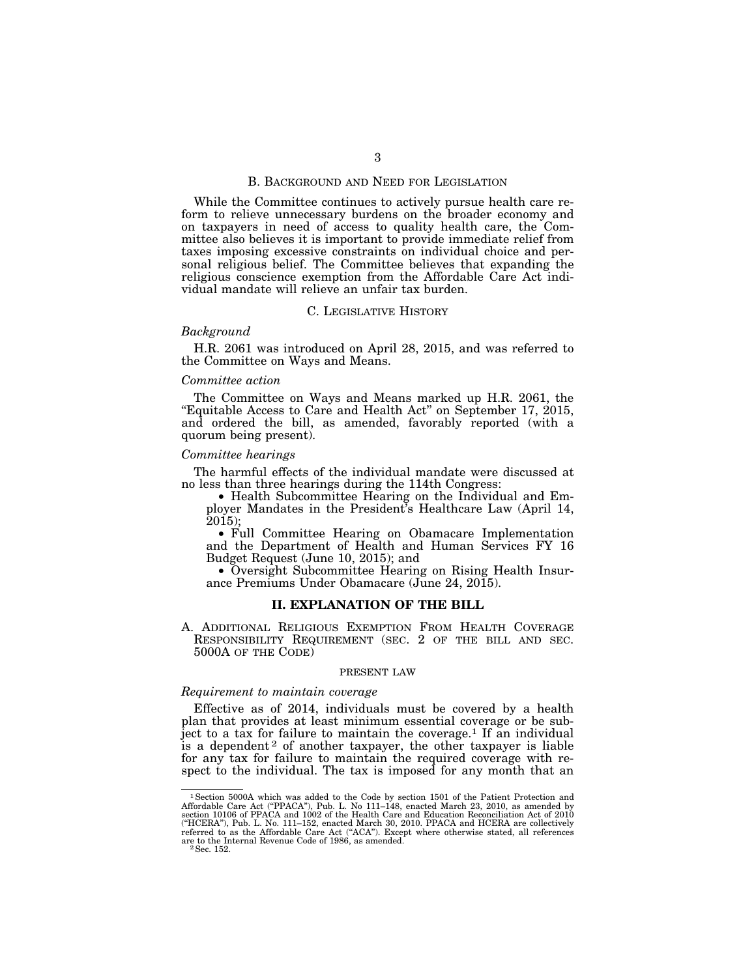### B. BACKGROUND AND NEED FOR LEGISLATION

While the Committee continues to actively pursue health care reform to relieve unnecessary burdens on the broader economy and on taxpayers in need of access to quality health care, the Committee also believes it is important to provide immediate relief from taxes imposing excessive constraints on individual choice and personal religious belief. The Committee believes that expanding the religious conscience exemption from the Affordable Care Act individual mandate will relieve an unfair tax burden.

### C. LEGISLATIVE HISTORY

#### *Background*

H.R. 2061 was introduced on April 28, 2015, and was referred to the Committee on Ways and Means.

### *Committee action*

The Committee on Ways and Means marked up H.R. 2061, the "Equitable Access to Care and Health Act" on September 17, 2015, and ordered the bill, as amended, favorably reported (with a quorum being present).

### *Committee hearings*

The harmful effects of the individual mandate were discussed at no less than three hearings during the 114th Congress:

• Health Subcommittee Hearing on the Individual and Employer Mandates in the President's Healthcare Law (April 14, 2015);

• Full Committee Hearing on Obamacare Implementation and the Department of Health and Human Services FY 16 Budget Request (June 10, 2015); and

• Oversight Subcommittee Hearing on Rising Health Insurance Premiums Under Obamacare (June 24, 2015).

#### **II. EXPLANATION OF THE BILL**

A. ADDITIONAL RELIGIOUS EXEMPTION FROM HEALTH COVERAGE RESPONSIBILITY REQUIREMENT (SEC. 2 OF THE BILL AND SEC. 5000A OF THE CODE)

#### PRESENT LAW

## *Requirement to maintain coverage*

Effective as of 2014, individuals must be covered by a health plan that provides at least minimum essential coverage or be subject to a tax for failure to maintain the coverage.<sup>1</sup> If an individual is a dependent<sup>2</sup> of another taxpayer, the other taxpayer is liable for any tax for failure to maintain the required coverage with respect to the individual. The tax is imposed for any month that an

<sup>&</sup>lt;sup>1</sup> Section 5000A which was added to the Code by section 1501 of the Patient Protection and Affordable Care Act ("PPACA"), Pub. L. No 111–148, enacted March 23, 2010, as amended by section 10106 of PPACA and 1002 of the H (''HCERA''), Pub. L. No. 111–152, enacted March 30, 2010. PPACA and HCERA are collectively referred to as the Affordable Care Act ("ACA"). Except where otherwise stated, all references<br>are to the Internal Revenue Code of 1986, as amended.<br><sup>2</sup> Sec. 152.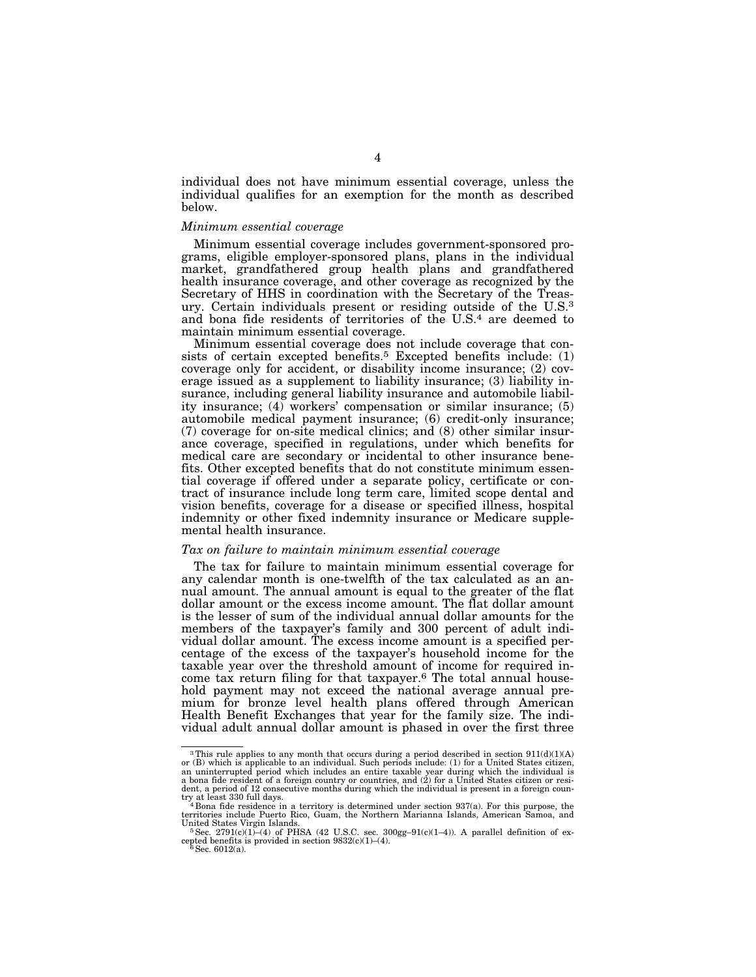individual does not have minimum essential coverage, unless the individual qualifies for an exemption for the month as described below.

#### *Minimum essential coverage*

Minimum essential coverage includes government-sponsored programs, eligible employer-sponsored plans, plans in the individual market, grandfathered group health plans and grandfathered health insurance coverage, and other coverage as recognized by the Secretary of HHS in coordination with the Secretary of the Treasury. Certain individuals present or residing outside of the U.S.3 and bona fide residents of territories of the U.S.4 are deemed to maintain minimum essential coverage.

Minimum essential coverage does not include coverage that consists of certain excepted benefits.<sup>5</sup> Excepted benefits include: (1) coverage only for accident, or disability income insurance; (2) coverage issued as a supplement to liability insurance; (3) liability insurance, including general liability insurance and automobile liability insurance; (4) workers' compensation or similar insurance; (5) automobile medical payment insurance; (6) credit-only insurance; (7) coverage for on-site medical clinics; and (8) other similar insurance coverage, specified in regulations, under which benefits for medical care are secondary or incidental to other insurance benefits. Other excepted benefits that do not constitute minimum essential coverage if offered under a separate policy, certificate or contract of insurance include long term care, limited scope dental and vision benefits, coverage for a disease or specified illness, hospital indemnity or other fixed indemnity insurance or Medicare supplemental health insurance.

## *Tax on failure to maintain minimum essential coverage*

The tax for failure to maintain minimum essential coverage for any calendar month is one-twelfth of the tax calculated as an annual amount. The annual amount is equal to the greater of the flat dollar amount or the excess income amount. The flat dollar amount is the lesser of sum of the individual annual dollar amounts for the members of the taxpayer's family and 300 percent of adult individual dollar amount. The excess income amount is a specified percentage of the excess of the taxpayer's household income for the taxable year over the threshold amount of income for required income tax return filing for that taxpayer.<sup>6</sup> The total annual household payment may not exceed the national average annual premium for bronze level health plans offered through American Health Benefit Exchanges that year for the family size. The individual adult annual dollar amount is phased in over the first three

<sup>&</sup>lt;sup>3</sup>This rule applies to any month that occurs during a period described in section  $911(d)(1)(A)$  or (B) which is applicable to an individual. Such periods include: (1) for a United States citizen, an uninterrupted period wh a bona fide resident of a foreign country or countries, and (2) for a United States citizen or resident, a period of 12 consecutive months during which the individual is present in a foreign country at least 330 full days.

territories include Puerto Rico, Guam, the Northern Marianna Islands, American Samoa, and United States Virgin Islands.<br><sup>5</sup>Sec. 2791(c)(1)–(4) of PHSA (42 U.S.C. sec. 300gg–91(c)(1–4)). A parallel definition of ex-

cepted benefits is provided in section  $9832(c)(1)-(4)$ .<br><sup>6</sup>Sec. 6012(a).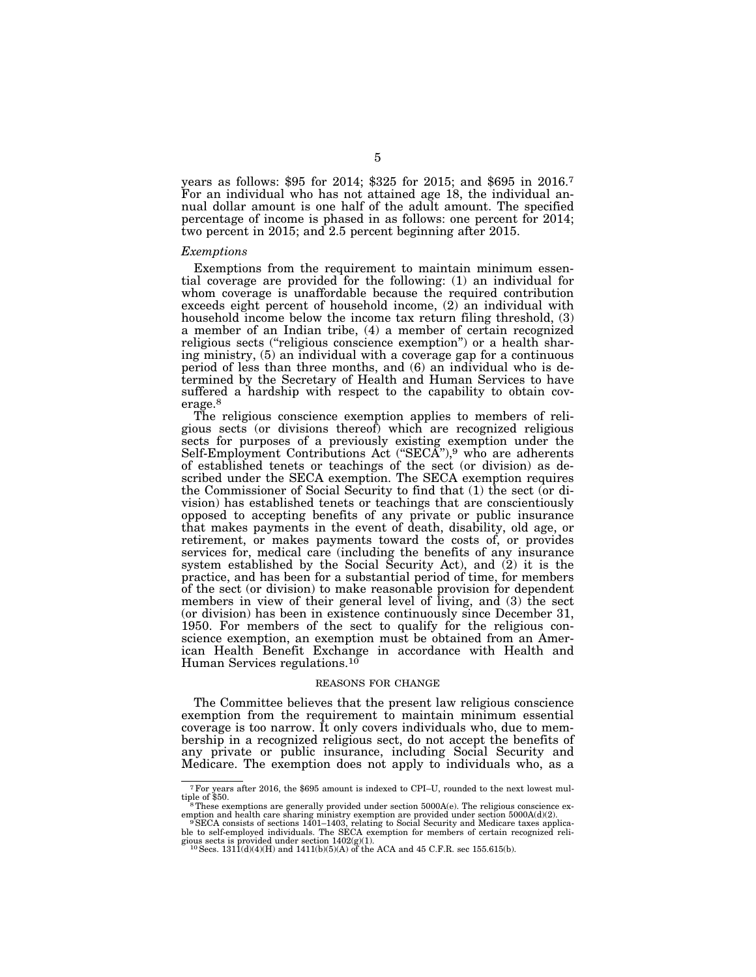years as follows: \$95 for 2014; \$325 for 2015; and \$695 in 2016.7 For an individual who has not attained age 18, the individual annual dollar amount is one half of the adult amount. The specified percentage of income is phased in as follows: one percent for 2014; two percent in 2015; and 2.5 percent beginning after 2015.

#### *Exemptions*

Exemptions from the requirement to maintain minimum essential coverage are provided for the following: (1) an individual for whom coverage is unaffordable because the required contribution exceeds eight percent of household income, (2) an individual with household income below the income tax return filing threshold, (3) a member of an Indian tribe, (4) a member of certain recognized religious sects (''religious conscience exemption'') or a health sharing ministry, (5) an individual with a coverage gap for a continuous period of less than three months, and (6) an individual who is determined by the Secretary of Health and Human Services to have suffered a hardship with respect to the capability to obtain coverage.8

The religious conscience exemption applies to members of religious sects (or divisions thereof) which are recognized religious sects for purposes of a previously existing exemption under the Self-Employment Contributions Act ("SECA"),<sup>9</sup> who are adherents of established tenets or teachings of the sect (or division) as described under the SECA exemption. The SECA exemption requires the Commissioner of Social Security to find that (1) the sect (or division) has established tenets or teachings that are conscientiously opposed to accepting benefits of any private or public insurance that makes payments in the event of death, disability, old age, or retirement, or makes payments toward the costs of, or provides services for, medical care (including the benefits of any insurance system established by the Social Security Act), and (2) it is the practice, and has been for a substantial period of time, for members of the sect (or division) to make reasonable provision for dependent members in view of their general level of living, and (3) the sect (or division) has been in existence continuously since December 31, 1950. For members of the sect to qualify for the religious conscience exemption, an exemption must be obtained from an American Health Benefit Exchange in accordance with Health and Human Services regulations.10

#### REASONS FOR CHANGE

The Committee believes that the present law religious conscience exemption from the requirement to maintain minimum essential coverage is too narrow. It only covers individuals who, due to membership in a recognized religious sect, do not accept the benefits of any private or public insurance, including Social Security and Medicare. The exemption does not apply to individuals who, as a

<sup>&</sup>lt;sup>7</sup>For years after 2016, the \$695 amount is indexed to CPI–U, rounded to the next lowest multiple of \$50. <sup>8</sup>These exemptions are generally provided under section 5000A(e). The religious conscience ex-

emption and health care sharing ministry exemption are provided under section 5000A(d)(2).<br><sup>9</sup>SECA consists of sections 1401–1403, relating to Social Security and Medicare taxes applica-

ble to self-employed individuals. The SECA exemption for members of certain recognized reli-<br>gious sects is provided under section 1402(g)(1).<br><sup>10</sup> Secs. 1311(d)(4)(H) and 1411(b)(5)(A) of the ACA and 45 C.F.R. sec 155.615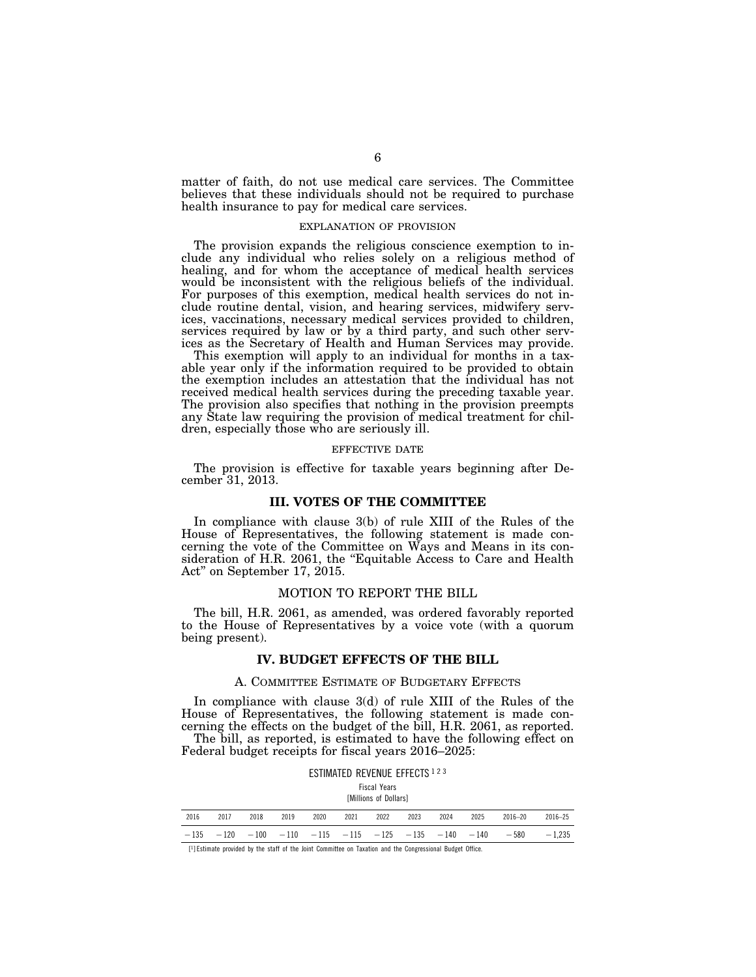matter of faith, do not use medical care services. The Committee believes that these individuals should not be required to purchase health insurance to pay for medical care services.

#### EXPLANATION OF PROVISION

The provision expands the religious conscience exemption to include any individual who relies solely on a religious method of healing, and for whom the acceptance of medical health services would be inconsistent with the religious beliefs of the individual. For purposes of this exemption, medical health services do not include routine dental, vision, and hearing services, midwifery services, vaccinations, necessary medical services provided to children, services required by law or by a third party, and such other services as the Secretary of Health and Human Services may provide.

This exemption will apply to an individual for months in a taxable year only if the information required to be provided to obtain the exemption includes an attestation that the individual has not received medical health services during the preceding taxable year. The provision also specifies that nothing in the provision preempts any State law requiring the provision of medical treatment for children, especially those who are seriously ill.

#### EFFECTIVE DATE

The provision is effective for taxable years beginning after December 31, 2013.

## **III. VOTES OF THE COMMITTEE**

In compliance with clause 3(b) of rule XIII of the Rules of the House of Representatives, the following statement is made concerning the vote of the Committee on Ways and Means in its consideration of H.R. 2061, the "Equitable Access to Care and Health Act'' on September 17, 2015.

### MOTION TO REPORT THE BILL

The bill, H.R. 2061, as amended, was ordered favorably reported to the House of Representatives by a voice vote (with a quorum being present).

### **IV. BUDGET EFFECTS OF THE BILL**

### A. COMMITTEE ESTIMATE OF BUDGETARY EFFECTS

In compliance with clause 3(d) of rule XIII of the Rules of the House of Representatives, the following statement is made concerning the effects on the budget of the bill, H.R. 2061, as reported. The bill, as reported, is estimated to have the following effect on Federal budget receipts for fiscal years 2016–2025:

|      |                                                                       |      |      |      |      | ESTIMATED REVENUE EFFECTS 1 2 3<br><b>Fiscal Years</b><br><b>IMillions of Dollars1</b> |      |      |      |             |             |
|------|-----------------------------------------------------------------------|------|------|------|------|----------------------------------------------------------------------------------------|------|------|------|-------------|-------------|
| 2016 | 2017                                                                  | 2018 | 2019 | 2020 | 2021 | 2022                                                                                   | 2023 | 2024 | 2025 | $2016 - 20$ | $2016 - 25$ |
|      | $-135$ $-120$ $-100$ $-110$ $-115$ $-115$ $-125$ $-135$ $-140$ $-140$ |      |      |      |      |                                                                                        |      |      |      | $-580$      | $-1.235$    |

[1] Estimate provided by the staff of the Joint Committee on Taxation and the Congressional Budget Office.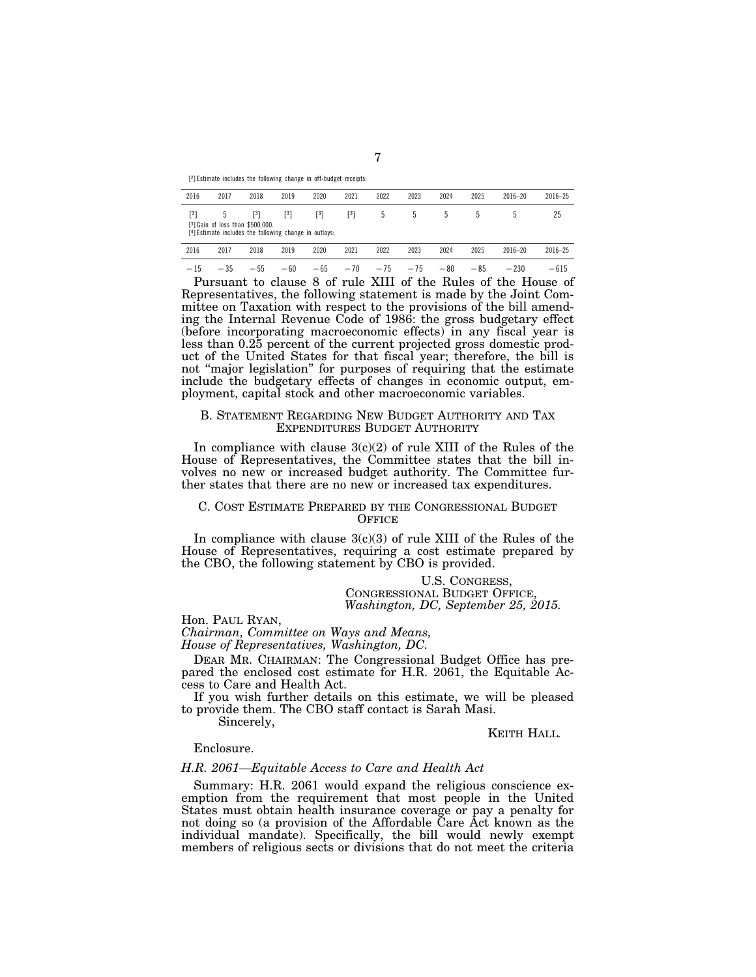[2] Estimate includes the following change in off-budget receipts:

| 2016              | 2017  | 2018                                                                                                            | 2019              | 2020              | 2021                  | 2022  | 2023           | 2024           | 2025  | $2016 - 20$ | $2016 - 25$ |
|-------------------|-------|-----------------------------------------------------------------------------------------------------------------|-------------------|-------------------|-----------------------|-------|----------------|----------------|-------|-------------|-------------|
| $\lceil 3 \rceil$ | 5     | $\lceil 3 \rceil$<br>[3] Gain of less than \$500,000.<br>[4] Estimate includes the following change in outlays: | $\lceil 3 \rceil$ | $\lceil 3 \rceil$ | $\lceil$ <sup>3</sup> | 5     | $\mathfrak{h}$ | $\mathfrak{h}$ | .5    |             | 25          |
| 2016              | 2017  | 2018                                                                                                            | 2019              | 2020              | 2021                  | 2022  | 2023           | 2024           | 2025  | $2016 - 20$ | $2016 - 25$ |
| $-15$             | $-35$ | $-55$                                                                                                           | $-60$             | $-65$             | $-70$                 | $-75$ | $-75$          | $-80$          | $-85$ | $-230$      | $-615$      |

Pursuant to clause 8 of rule XIII of the Rules of the House of Representatives, the following statement is made by the Joint Committee on Taxation with respect to the provisions of the bill amending the Internal Revenue Code of 1986: the gross budgetary effect (before incorporating macroeconomic effects) in any fiscal year is less than 0.25 percent of the current projected gross domestic product of the United States for that fiscal year; therefore, the bill is not "major legislation" for purposes of requiring that the estimate include the budgetary effects of changes in economic output, employment, capital stock and other macroeconomic variables.

### B. STATEMENT REGARDING NEW BUDGET AUTHORITY AND TAX EXPENDITURES BUDGET AUTHORITY

In compliance with clause  $3(c)(2)$  of rule XIII of the Rules of the House of Representatives, the Committee states that the bill involves no new or increased budget authority. The Committee further states that there are no new or increased tax expenditures.

### C. COST ESTIMATE PREPARED BY THE CONGRESSIONAL BUDGET **OFFICE**

In compliance with clause  $3(c)(3)$  of rule XIII of the Rules of the House of Representatives, requiring a cost estimate prepared by the CBO, the following statement by CBO is provided.

## U.S. CONGRESS, CONGRESSIONAL BUDGET OFFICE, *Washington, DC, September 25, 2015.*

Hon. PAUL RYAN,

*Chairman, Committee on Ways and Means,* 

*House of Representatives, Washington, DC.* 

DEAR MR. CHAIRMAN: The Congressional Budget Office has prepared the enclosed cost estimate for H.R. 2061, the Equitable Access to Care and Health Act.

If you wish further details on this estimate, we will be pleased to provide them. The CBO staff contact is Sarah Masi.

Sincerely,

KEITH HALL*.* 

### Enclosure.

#### *H.R. 2061—Equitable Access to Care and Health Act*

Summary: H.R. 2061 would expand the religious conscience exemption from the requirement that most people in the United States must obtain health insurance coverage or pay a penalty for not doing so (a provision of the Affordable Care Act known as the individual mandate). Specifically, the bill would newly exempt members of religious sects or divisions that do not meet the criteria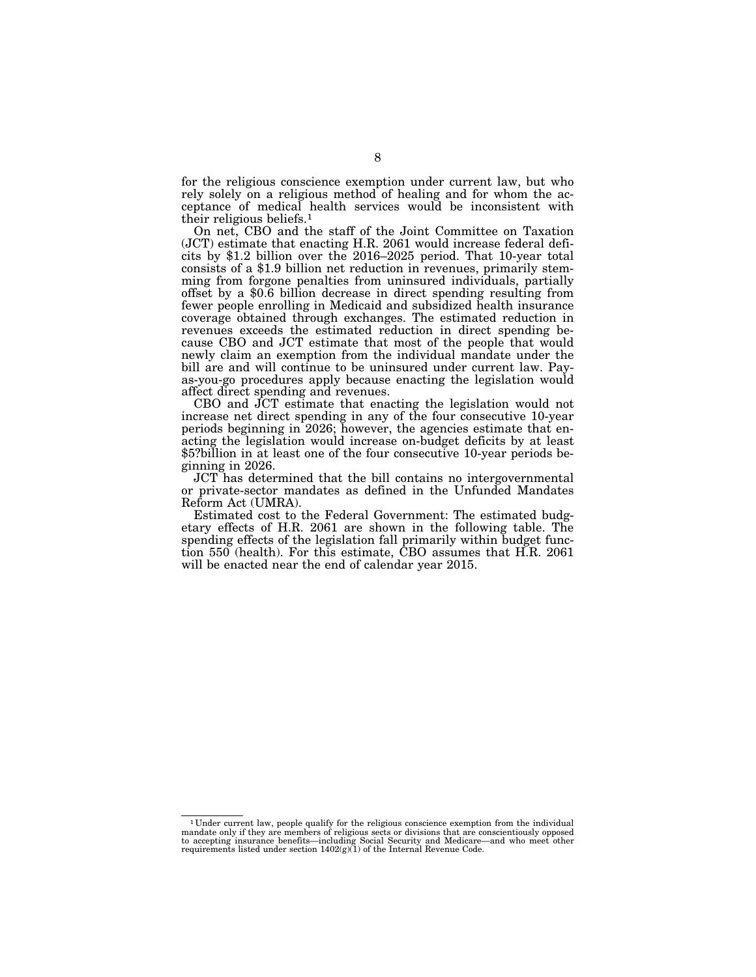for the religious conscience exemption under current law, but who rely solely on a religious method of healing and for whom the acceptance of medical health services would be inconsistent with their religious beliefs.1

On net, CBO and the staff of the Joint Committee on Taxation (JCT) estimate that enacting H.R. 2061 would increase federal deficits by \$1.2 billion over the 2016–2025 period. That 10-year total consists of a \$1.9 billion net reduction in revenues, primarily stemming from forgone penalties from uninsured individuals, partially offset by a \$0.6 billion decrease in direct spending resulting from fewer people enrolling in Medicaid and subsidized health insurance coverage obtained through exchanges. The estimated reduction in revenues exceeds the estimated reduction in direct spending because CBO and JCT estimate that most of the people that would newly claim an exemption from the individual mandate under the bill are and will continue to be uninsured under current law. Payas-you-go procedures apply because enacting the legislation would affect direct spending and revenues.

CBO and JCT estimate that enacting the legislation would not increase net direct spending in any of the four consecutive 10-year periods beginning in 2026; however, the agencies estimate that enacting the legislation would increase on-budget deficits by at least \$5?billion in at least one of the four consecutive 10-year periods beginning in 2026.

JCT has determined that the bill contains no intergovernmental or private-sector mandates as defined in the Unfunded Mandates Reform Act (UMRA).

Estimated cost to the Federal Government: The estimated budgetary effects of H.R. 2061 are shown in the following table. The spending effects of the legislation fall primarily within budget function 550 (health). For this estimate, CBO assumes that H.R. 2061 will be enacted near the end of calendar year 2015.

<sup>1</sup> Under current law, people qualify for the religious conscience exemption from the individual mandate only if they are members of religious sects or divisions that are conscientiously opposed<br>to accepting insurance benefits—including Social Security and Medicare—and who meet other<br>requirements listed under section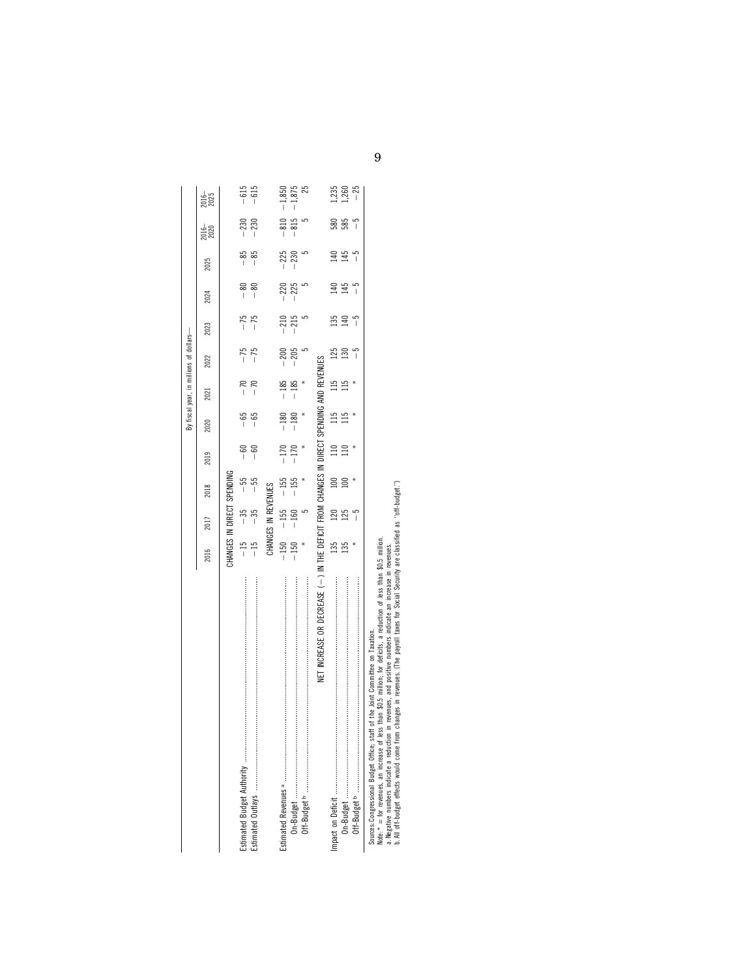|                                                                                          |                            |                     |        |                  |                  |                  | By fiscal year, in millions of dollars- |                |        |                 |               |                  |
|------------------------------------------------------------------------------------------|----------------------------|---------------------|--------|------------------|------------------|------------------|-----------------------------------------|----------------|--------|-----------------|---------------|------------------|
|                                                                                          | 2016                       | 2017                | 2018   | 2019             | 2020             | 2021             | 2022                                    | 2023           | 2024   | 2025            | 2016–<br>2020 | 2016-            |
|                                                                                          | CHANGES IN DIRECT SPENDING |                     |        |                  |                  |                  |                                         |                |        |                 |               |                  |
|                                                                                          |                            | $-35$               | $-55$  | $-60$            |                  |                  |                                         |                | $-80$  | $-85$           | $-230$        |                  |
|                                                                                          | $-15$<br>$-15$             | $-35$               |        | - 60<br>         | $-65$<br>$-65$   | $-70$<br>$-70$   | $-75$<br>-75                            | $-75$<br>$-75$ | $-80$  | $-85$           | $-230$        | $-615$<br>$-615$ |
|                                                                                          |                            | CHANGES IN REVENUES |        |                  |                  |                  |                                         |                |        |                 |               |                  |
|                                                                                          |                            | $-150 - 155 - 155$  |        | $-170$           |                  |                  | $-200$                                  | $-210$         | $-220$ | $-225$          | $-810$        | $-1,850$         |
|                                                                                          |                            | $-150 - 160$<br>* 5 | $-155$ | $-170$           | $-180$<br>$-180$ | $-185$<br>$-185$ | $-205$                                  | $-215$         | $-225$ | $-230$<br>$5$   | $-815$<br>5   | $-1,875$         |
|                                                                                          |                            |                     |        |                  |                  |                  |                                         |                |        |                 |               |                  |
| NET INCREASE OR DECREASE (-) IN THE DEFICIT FROM CHANGES IN DIRECT SPENDING AND REVENUES |                            |                     |        |                  |                  |                  |                                         |                |        |                 |               |                  |
|                                                                                          | 135                        | 120                 | 100    | $\overline{110}$ | 115              | 115              | 125                                     | 135            | 140    | $\overline{40}$ | 580           |                  |
|                                                                                          | 135                        | 125                 |        |                  | 115              | 115              | 130                                     | 윤              | 145    | 145             | 585           | $1,250$<br>$-25$ |
|                                                                                          |                            | $-5$                |        |                  |                  |                  |                                         | $-5$           | م<br>ا | - 5             | $-5$          |                  |
| Course: Consecional Dudies, Office: staff of the loint Committee on Tavetion             |                            |                     |        |                  |                  |                  |                                         |                |        |                 |               |                  |

Sources: Congressional Budget Office; staff of the Joint Committee on Taxation. Note: \* = for revenues, an increase of less than \$0.5 million; for deficits, a reduction of less than \$0.5 million.

Souress.Congressional Budget Offices staff of the Joint Committee on Taxation.<br>a Negative Tur revenues inclaine area reduction in revenues, and point for the state of less than \$0.5 million<br>a Negative Tur revenues inclaine a. Negative numbers indicate a reduction in revenues, and positive numbers indicate an increase in revenues.

b. All off-budget effects would come from changes in revenues. (The payroll taxes for Social Security are classified as ''off-budget.'')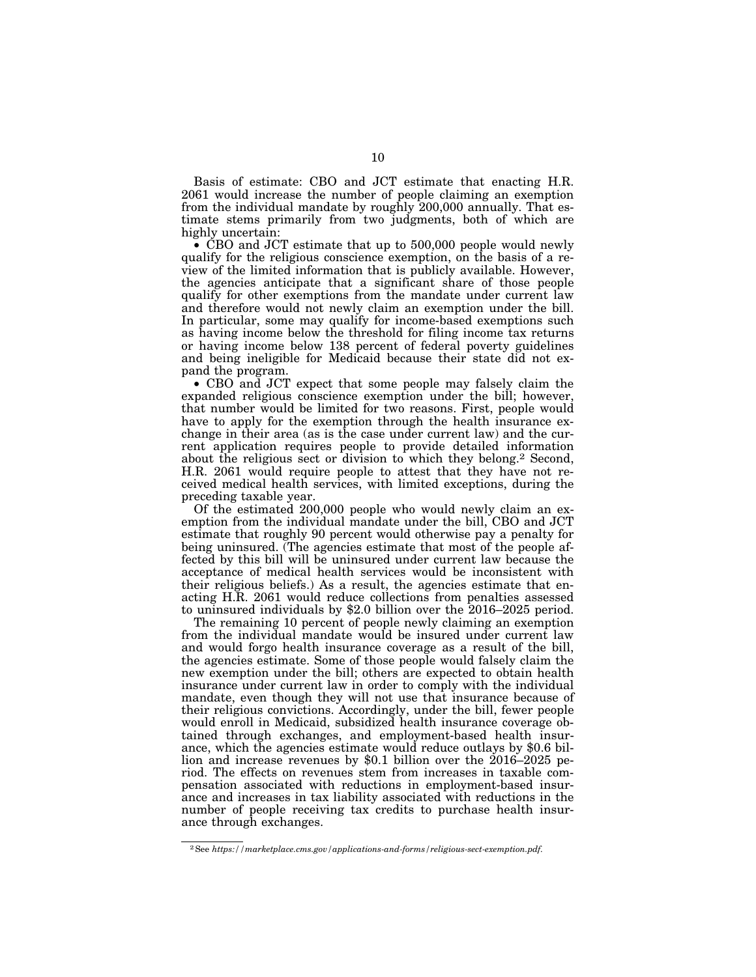Basis of estimate: CBO and JCT estimate that enacting H.R. 2061 would increase the number of people claiming an exemption from the individual mandate by roughly 200,000 annually. That estimate stems primarily from two judgments, both of which are highly uncertain:

• CBO and JCT estimate that up to 500,000 people would newly qualify for the religious conscience exemption, on the basis of a review of the limited information that is publicly available. However, the agencies anticipate that a significant share of those people qualify for other exemptions from the mandate under current law and therefore would not newly claim an exemption under the bill. In particular, some may qualify for income-based exemptions such as having income below the threshold for filing income tax returns or having income below 138 percent of federal poverty guidelines and being ineligible for Medicaid because their state did not expand the program.

• CBO and JCT expect that some people may falsely claim the expanded religious conscience exemption under the bill; however, that number would be limited for two reasons. First, people would have to apply for the exemption through the health insurance exchange in their area (as is the case under current law) and the current application requires people to provide detailed information about the religious sect or division to which they belong.2 Second, H.R. 2061 would require people to attest that they have not received medical health services, with limited exceptions, during the preceding taxable year.

Of the estimated 200,000 people who would newly claim an exemption from the individual mandate under the bill, CBO and JCT estimate that roughly 90 percent would otherwise pay a penalty for being uninsured. (The agencies estimate that most of the people affected by this bill will be uninsured under current law because the acceptance of medical health services would be inconsistent with their religious beliefs.) As a result, the agencies estimate that enacting H.R. 2061 would reduce collections from penalties assessed to uninsured individuals by \$2.0 billion over the 2016–2025 period.

The remaining 10 percent of people newly claiming an exemption from the individual mandate would be insured under current law and would forgo health insurance coverage as a result of the bill, the agencies estimate. Some of those people would falsely claim the new exemption under the bill; others are expected to obtain health insurance under current law in order to comply with the individual mandate, even though they will not use that insurance because of their religious convictions. Accordingly, under the bill, fewer people would enroll in Medicaid, subsidized health insurance coverage obtained through exchanges, and employment-based health insurance, which the agencies estimate would reduce outlays by \$0.6 billion and increase revenues by \$0.1 billion over the 2016–2025 period. The effects on revenues stem from increases in taxable compensation associated with reductions in employment-based insurance and increases in tax liability associated with reductions in the number of people receiving tax credits to purchase health insurance through exchanges.

<sup>2</sup>See *https://marketplace.cms.gov/applications-and-forms/religious-sect-exemption.pdf.*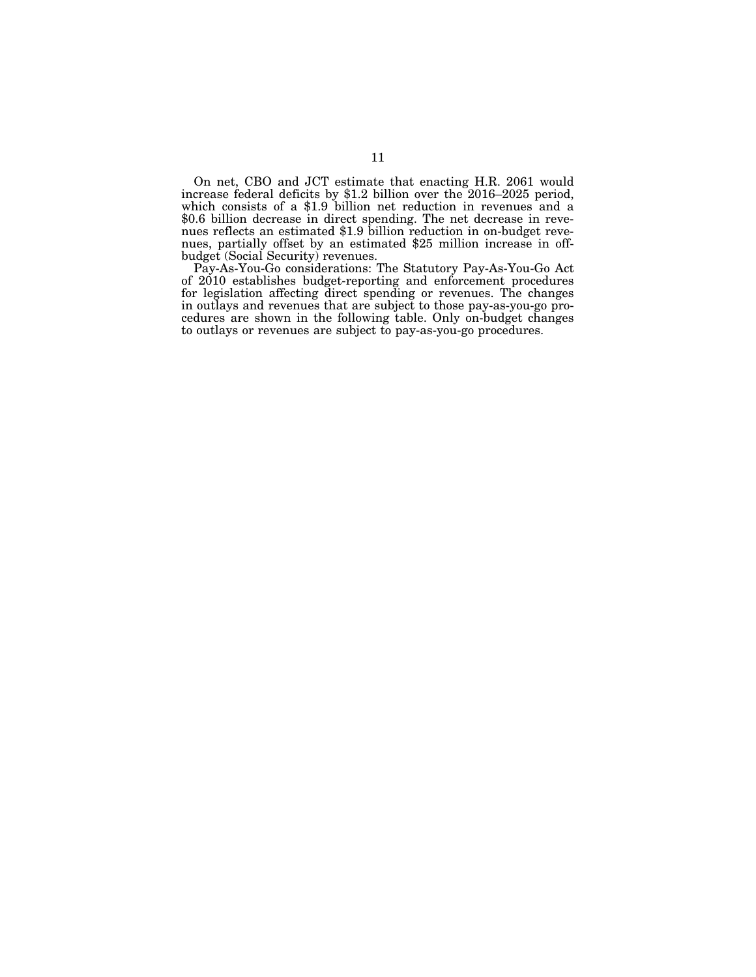On net, CBO and JCT estimate that enacting H.R. 2061 would increase federal deficits by \$1.2 billion over the 2016–2025 period, which consists of a \$1.9 billion net reduction in revenues and a \$0.6 billion decrease in direct spending. The net decrease in revenues reflects an estimated \$1.9 billion reduction in on-budget revenues, partially offset by an estimated \$25 million increase in offbudget (Social Security) revenues.

Pay-As-You-Go considerations: The Statutory Pay-As-You-Go Act of 2010 establishes budget-reporting and enforcement procedures for legislation affecting direct spending or revenues. The changes in outlays and revenues that are subject to those pay-as-you-go procedures are shown in the following table. Only on-budget changes to outlays or revenues are subject to pay-as-you-go procedures.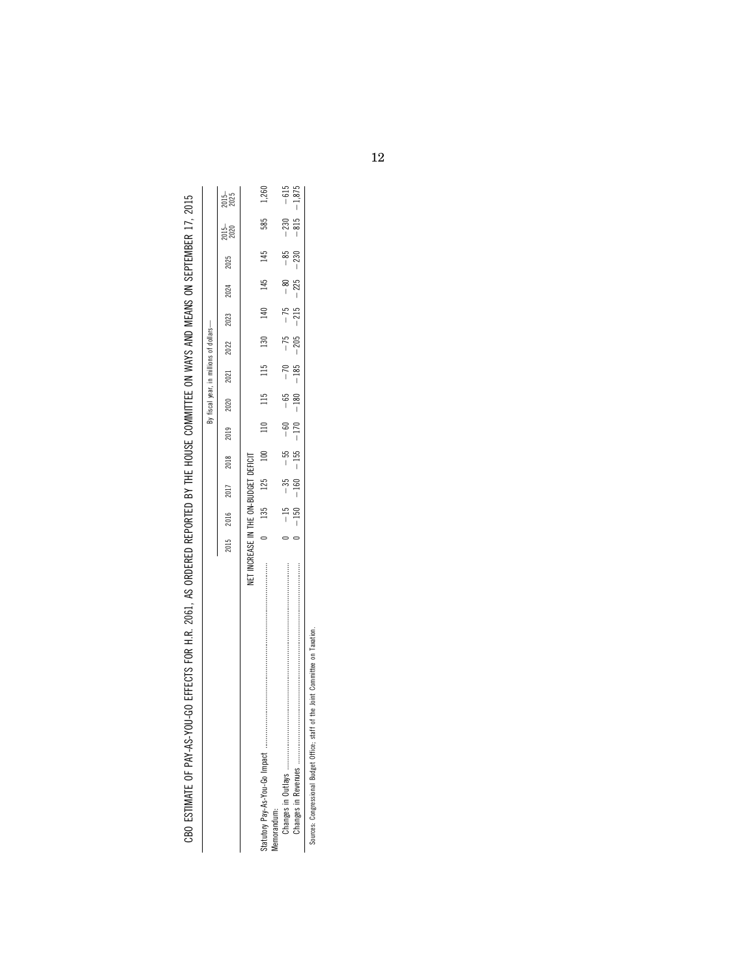|                                                                                                                 | l                                                                                                 |
|-----------------------------------------------------------------------------------------------------------------|---------------------------------------------------------------------------------------------------|
|                                                                                                                 | י                                                                                                 |
|                                                                                                                 |                                                                                                   |
|                                                                                                                 |                                                                                                   |
|                                                                                                                 |                                                                                                   |
|                                                                                                                 |                                                                                                   |
|                                                                                                                 |                                                                                                   |
|                                                                                                                 |                                                                                                   |
|                                                                                                                 |                                                                                                   |
|                                                                                                                 |                                                                                                   |
|                                                                                                                 |                                                                                                   |
|                                                                                                                 |                                                                                                   |
| LLC INC CINNELISM CINN CINNING LLLLLING                                                                         |                                                                                                   |
|                                                                                                                 |                                                                                                   |
|                                                                                                                 |                                                                                                   |
|                                                                                                                 |                                                                                                   |
|                                                                                                                 |                                                                                                   |
|                                                                                                                 | ֖֖֧֧֧֧֧֧֖֧֧֧֧֧֧֖֧֧֧֧֧֧֚֚֚֚֚֚֚֚֚֚֚֚֚֚֚֚֚֚֚֚֚֚֚֚֚֚֚֚֚֚֚֚֚֡֝֓֝֓֝֓֝֓֝֓֞֝֓֝֓֝֓֝֓֝֓֝֓֝֬֝֓֝֓֝֬֝֬֝֓֝֬֝֝֬֝ |
|                                                                                                                 |                                                                                                   |
|                                                                                                                 |                                                                                                   |
|                                                                                                                 |                                                                                                   |
|                                                                                                                 |                                                                                                   |
|                                                                                                                 |                                                                                                   |
|                                                                                                                 |                                                                                                   |
|                                                                                                                 |                                                                                                   |
|                                                                                                                 |                                                                                                   |
|                                                                                                                 |                                                                                                   |
|                                                                                                                 |                                                                                                   |
|                                                                                                                 |                                                                                                   |
|                                                                                                                 |                                                                                                   |
|                                                                                                                 |                                                                                                   |
|                                                                                                                 |                                                                                                   |
|                                                                                                                 |                                                                                                   |
|                                                                                                                 |                                                                                                   |
|                                                                                                                 |                                                                                                   |
|                                                                                                                 |                                                                                                   |
|                                                                                                                 |                                                                                                   |
|                                                                                                                 |                                                                                                   |
|                                                                                                                 |                                                                                                   |
|                                                                                                                 |                                                                                                   |
|                                                                                                                 |                                                                                                   |
|                                                                                                                 |                                                                                                   |
|                                                                                                                 | $\frac{1}{1}$                                                                                     |
|                                                                                                                 | ֖֖֖֖֖֖֪ׅ֖ׅ֪ׅ֪ׅ֪֪֪ׅ֖ׅ֖֪ׅ֖ׅ֪֪ׅ֖֧֪ׅ֖֧ׅ֪ׅ֪֪֪֪֪֪֪֪֪֪ׅ֧֪ׅ֚֚֚֚֚֚֚֚֚֚֚֚֚֚֚֚֚֚֚֚֡֝֝֝֝֝֝֝֝֝֬֝֬֓֝            |
|                                                                                                                 |                                                                                                   |
|                                                                                                                 |                                                                                                   |
|                                                                                                                 |                                                                                                   |
|                                                                                                                 |                                                                                                   |
|                                                                                                                 |                                                                                                   |
|                                                                                                                 |                                                                                                   |
|                                                                                                                 |                                                                                                   |
|                                                                                                                 |                                                                                                   |
|                                                                                                                 |                                                                                                   |
|                                                                                                                 | ۱<br>$\overline{a}$                                                                               |
|                                                                                                                 |                                                                                                   |
|                                                                                                                 |                                                                                                   |
|                                                                                                                 |                                                                                                   |
|                                                                                                                 |                                                                                                   |
|                                                                                                                 |                                                                                                   |
|                                                                                                                 |                                                                                                   |
|                                                                                                                 |                                                                                                   |
|                                                                                                                 |                                                                                                   |
|                                                                                                                 |                                                                                                   |
|                                                                                                                 |                                                                                                   |
|                                                                                                                 | ׇ֚֘֡                                                                                              |
|                                                                                                                 |                                                                                                   |
|                                                                                                                 |                                                                                                   |
|                                                                                                                 | י                                                                                                 |
|                                                                                                                 |                                                                                                   |
|                                                                                                                 |                                                                                                   |
|                                                                                                                 |                                                                                                   |
|                                                                                                                 |                                                                                                   |
|                                                                                                                 |                                                                                                   |
|                                                                                                                 |                                                                                                   |
|                                                                                                                 |                                                                                                   |
|                                                                                                                 |                                                                                                   |
|                                                                                                                 |                                                                                                   |
|                                                                                                                 | j<br>֠                                                                                            |
|                                                                                                                 |                                                                                                   |
| AT LIF XX CAPPOCLOGED COMPANY TO THE LIF XX CAPPOCLOSE TO THE TOOL COMPANY TO THE COMPANY TO THE COMPANY TO THE |                                                                                                   |
| ו<br>י                                                                                                          |                                                                                                   |
|                                                                                                                 | ,                                                                                                 |
|                                                                                                                 |                                                                                                   |
| ŕ                                                                                                               |                                                                                                   |
|                                                                                                                 |                                                                                                   |
|                                                                                                                 | $\overline{ }$<br>ï                                                                               |
|                                                                                                                 | ζ                                                                                                 |
|                                                                                                                 |                                                                                                   |
|                                                                                                                 |                                                                                                   |
|                                                                                                                 |                                                                                                   |
|                                                                                                                 |                                                                                                   |
|                                                                                                                 |                                                                                                   |
|                                                                                                                 |                                                                                                   |
|                                                                                                                 |                                                                                                   |
|                                                                                                                 |                                                                                                   |
| j                                                                                                               |                                                                                                   |
|                                                                                                                 |                                                                                                   |
|                                                                                                                 |                                                                                                   |
|                                                                                                                 |                                                                                                   |
|                                                                                                                 |                                                                                                   |
| l                                                                                                               | l<br>l                                                                                            |

|                                                                                      |           |         |      |      |      |      | By fiscal year, in millions of dollars- |     |           |           |                                                                               |                                                                                          |                     |
|--------------------------------------------------------------------------------------|-----------|---------|------|------|------|------|-----------------------------------------|-----|-----------|-----------|-------------------------------------------------------------------------------|------------------------------------------------------------------------------------------|---------------------|
|                                                                                      | 2015 2016 |         | 2017 | 2018 | 2019 | 2020 | 2021                                    |     | 2022 2023 | 2024 2025 |                                                                               | 2015–<br>2020                                                                            | $\frac{2015}{2025}$ |
| NET INCREASE IN THE ON-BUDGET DEFICIT                                                |           |         |      |      |      |      |                                         |     |           |           |                                                                               |                                                                                          |                     |
| demorandum:                                                                          |           | 135 125 |      | 100  | 110  | 115  | 115                                     | 130 | 140       | 145       | 145                                                                           | 585                                                                                      | 1,260               |
|                                                                                      |           |         |      |      |      |      |                                         |     |           |           | $-15$ $-80$ $-85$ $-15$ $-15$ $-15$ $-15$ $-15$ $-15$ $-15$ $-15$ $-15$ $-15$ | $-150$ $-160$ $-155$ $-170$ $-180$ $-205$ $-225$ $-225$ $-225$ $-815$ $-1.875$<br>$-230$ | $-615$              |
| staff of the Joint Committee on Taxation.<br>Sources: Congressional Budget Office; s |           |         |      |      |      |      |                                         |     |           |           |                                                                               |                                                                                          |                     |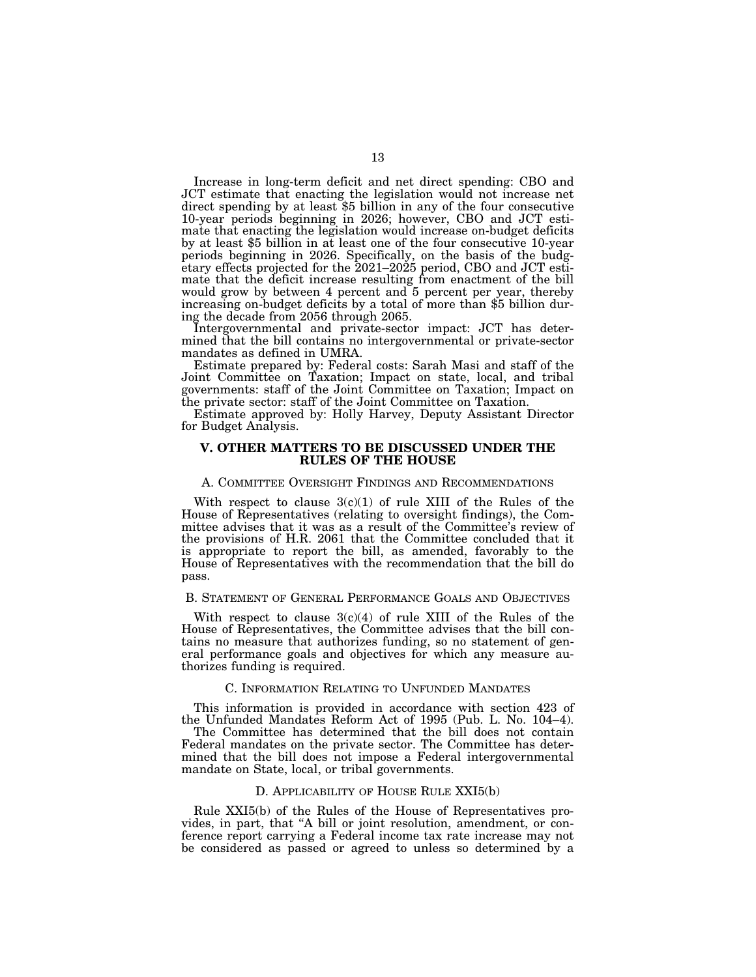Increase in long-term deficit and net direct spending: CBO and JCT estimate that enacting the legislation would not increase net direct spending by at least \$5 billion in any of the four consecutive 10-year periods beginning in 2026; however, CBO and JCT estimate that enacting the legislation would increase on-budget deficits by at least \$5 billion in at least one of the four consecutive 10-year periods beginning in 2026. Specifically, on the basis of the budgetary effects projected for the 2021–2025 period, CBO and JCT estimate that the deficit increase resulting from enactment of the bill would grow by between 4 percent and 5 percent per year, thereby increasing on-budget deficits by a total of more than \$5 billion during the decade from 2056 through 2065.

Intergovernmental and private-sector impact: JCT has determined that the bill contains no intergovernmental or private-sector mandates as defined in UMRA.

Estimate prepared by: Federal costs: Sarah Masi and staff of the Joint Committee on Taxation; Impact on state, local, and tribal governments: staff of the Joint Committee on Taxation; Impact on the private sector: staff of the Joint Committee on Taxation.

Estimate approved by: Holly Harvey, Deputy Assistant Director for Budget Analysis.

### **V. OTHER MATTERS TO BE DISCUSSED UNDER THE RULES OF THE HOUSE**

### A. COMMITTEE OVERSIGHT FINDINGS AND RECOMMENDATIONS

With respect to clause  $3(c)(1)$  of rule XIII of the Rules of the House of Representatives (relating to oversight findings), the Committee advises that it was as a result of the Committee's review of the provisions of H.R. 2061 that the Committee concluded that it is appropriate to report the bill, as amended, favorably to the House of Representatives with the recommendation that the bill do pass.

### B. STATEMENT OF GENERAL PERFORMANCE GOALS AND OBJECTIVES

With respect to clause  $3(c)(4)$  of rule XIII of the Rules of the House of Representatives, the Committee advises that the bill contains no measure that authorizes funding, so no statement of general performance goals and objectives for which any measure authorizes funding is required.

### C. INFORMATION RELATING TO UNFUNDED MANDATES

This information is provided in accordance with section 423 of the Unfunded Mandates Reform Act of 1995 (Pub. L. No. 104–4).

The Committee has determined that the bill does not contain Federal mandates on the private sector. The Committee has determined that the bill does not impose a Federal intergovernmental mandate on State, local, or tribal governments.

#### D. APPLICABILITY OF HOUSE RULE XXI5(b)

Rule XXI5(b) of the Rules of the House of Representatives provides, in part, that ''A bill or joint resolution, amendment, or conference report carrying a Federal income tax rate increase may not be considered as passed or agreed to unless so determined by a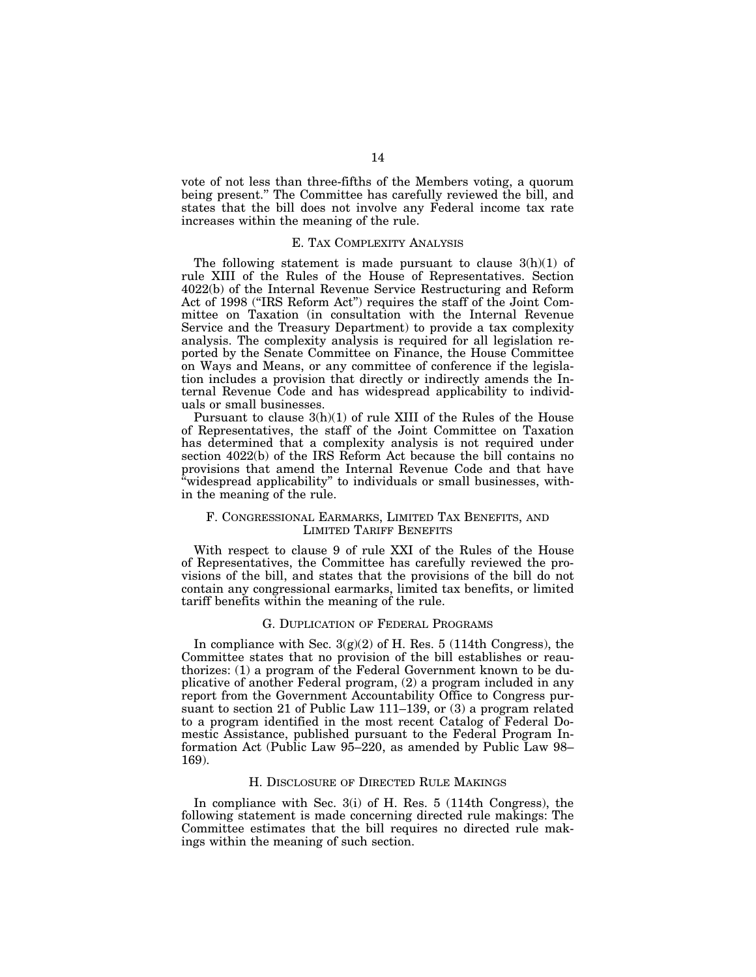vote of not less than three-fifths of the Members voting, a quorum being present.'' The Committee has carefully reviewed the bill, and states that the bill does not involve any Federal income tax rate increases within the meaning of the rule.

### E. TAX COMPLEXITY ANALYSIS

The following statement is made pursuant to clause  $3(h)(1)$  of rule XIII of the Rules of the House of Representatives. Section 4022(b) of the Internal Revenue Service Restructuring and Reform Act of 1998 (''IRS Reform Act'') requires the staff of the Joint Committee on Taxation (in consultation with the Internal Revenue Service and the Treasury Department) to provide a tax complexity analysis. The complexity analysis is required for all legislation reported by the Senate Committee on Finance, the House Committee on Ways and Means, or any committee of conference if the legislation includes a provision that directly or indirectly amends the Internal Revenue Code and has widespread applicability to individuals or small businesses.

Pursuant to clause 3(h)(1) of rule XIII of the Rules of the House of Representatives, the staff of the Joint Committee on Taxation has determined that a complexity analysis is not required under section 4022(b) of the IRS Reform Act because the bill contains no provisions that amend the Internal Revenue Code and that have 'widespread applicability" to individuals or small businesses, within the meaning of the rule.

## F. CONGRESSIONAL EARMARKS, LIMITED TAX BENEFITS, AND LIMITED TARIFF BENEFITS

With respect to clause 9 of rule XXI of the Rules of the House of Representatives, the Committee has carefully reviewed the provisions of the bill, and states that the provisions of the bill do not contain any congressional earmarks, limited tax benefits, or limited tariff benefits within the meaning of the rule.

### G. DUPLICATION OF FEDERAL PROGRAMS

In compliance with Sec.  $3(g)(2)$  of H. Res. 5 (114th Congress), the Committee states that no provision of the bill establishes or reauthorizes: (1) a program of the Federal Government known to be duplicative of another Federal program, (2) a program included in any report from the Government Accountability Office to Congress pursuant to section 21 of Public Law 111–139, or (3) a program related to a program identified in the most recent Catalog of Federal Domestic Assistance, published pursuant to the Federal Program Information Act (Public Law 95–220, as amended by Public Law 98– 169).

#### H. DISCLOSURE OF DIRECTED RULE MAKINGS

In compliance with Sec. 3(i) of H. Res. 5 (114th Congress), the following statement is made concerning directed rule makings: The Committee estimates that the bill requires no directed rule makings within the meaning of such section.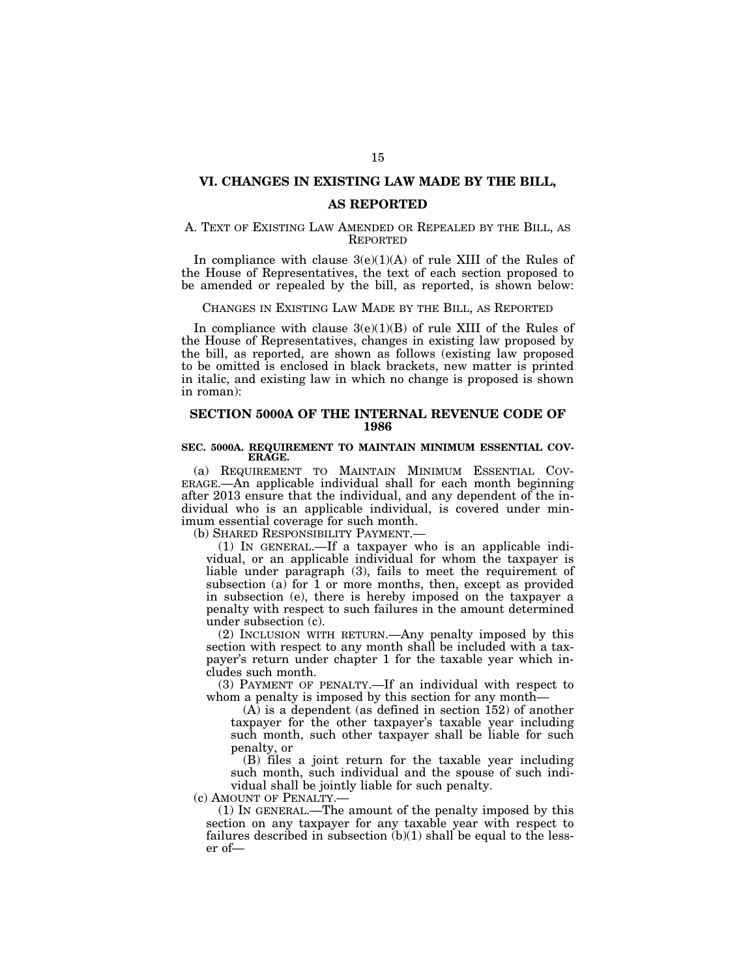## **VI. CHANGES IN EXISTING LAW MADE BY THE BILL,**

### **AS REPORTED**

## A. TEXT OF EXISTING LAW AMENDED OR REPEALED BY THE BILL, AS REPORTED

In compliance with clause  $3(e)(1)(A)$  of rule XIII of the Rules of the House of Representatives, the text of each section proposed to be amended or repealed by the bill, as reported, is shown below:

## CHANGES IN EXISTING LAW MADE BY THE BILL, AS REPORTED

In compliance with clause  $3(e)(1)(B)$  of rule XIII of the Rules of the House of Representatives, changes in existing law proposed by the bill, as reported, are shown as follows (existing law proposed to be omitted is enclosed in black brackets, new matter is printed in italic, and existing law in which no change is proposed is shown in roman):

## **SECTION 5000A OF THE INTERNAL REVENUE CODE OF 1986**

### **SEC. 5000A. REQUIREMENT TO MAINTAIN MINIMUM ESSENTIAL COV-ERAGE.**

(a) REQUIREMENT TO MAINTAIN MINIMUM ESSENTIAL COV-ERAGE.—An applicable individual shall for each month beginning after 2013 ensure that the individual, and any dependent of the individual who is an applicable individual, is covered under minimum essential coverage for such month.

(b) SHARED RESPONSIBILITY PAYMENT.—

(1) IN GENERAL.—If a taxpayer who is an applicable individual, or an applicable individual for whom the taxpayer is liable under paragraph (3), fails to meet the requirement of subsection (a) for  $\overline{1}$  or more months, then, except as provided in subsection (e), there is hereby imposed on the taxpayer a penalty with respect to such failures in the amount determined under subsection (c).

(2) INCLUSION WITH RETURN.—Any penalty imposed by this section with respect to any month shall be included with a taxpayer's return under chapter 1 for the taxable year which includes such month.

(3) PAYMENT OF PENALTY.—If an individual with respect to whom a penalty is imposed by this section for any month—

(A) is a dependent (as defined in section 152) of another taxpayer for the other taxpayer's taxable year including such month, such other taxpayer shall be liable for such penalty, or

(B) files a joint return for the taxable year including such month, such individual and the spouse of such individual shall be jointly liable for such penalty.

(c) AMOUNT OF PENALTY.—

(1) IN GENERAL.—The amount of the penalty imposed by this section on any taxpayer for any taxable year with respect to failures described in subsection (b)(1) shall be equal to the lesser of—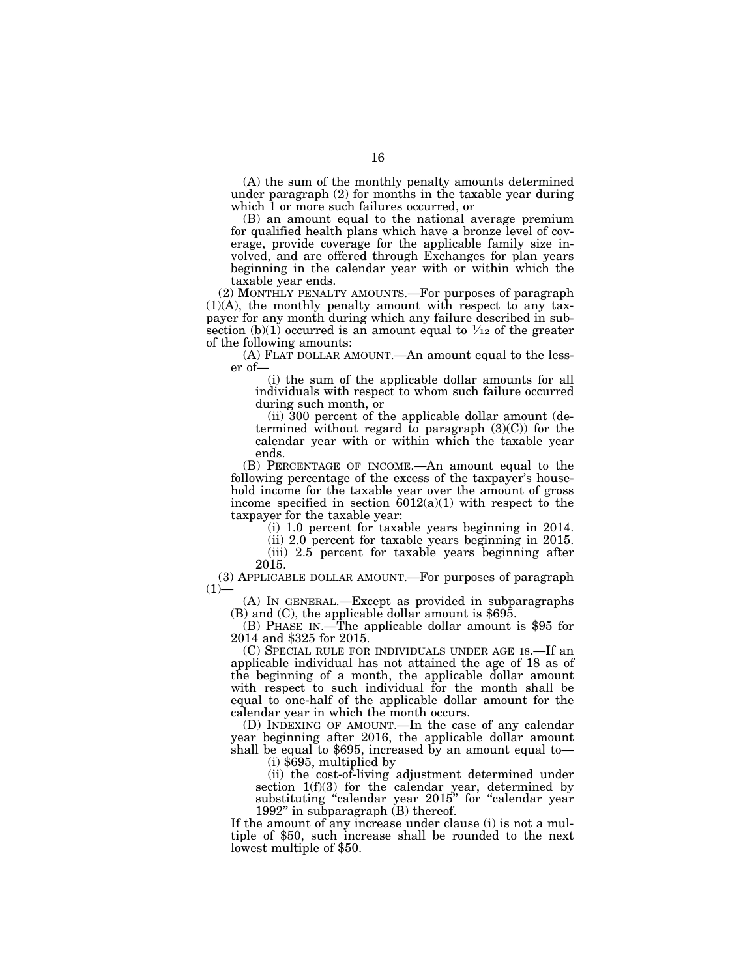(A) the sum of the monthly penalty amounts determined under paragraph (2) for months in the taxable year during which 1 or more such failures occurred, or

(B) an amount equal to the national average premium for qualified health plans which have a bronze level of coverage, provide coverage for the applicable family size involved, and are offered through Exchanges for plan years beginning in the calendar year with or within which the taxable year ends.

(2) MONTHLY PENALTY AMOUNTS.—For purposes of paragraph (1)(A), the monthly penalty amount with respect to any taxpayer for any month during which any failure described in subsection (b)(1) occurred is an amount equal to  $\frac{1}{12}$  of the greater of the following amounts:

(A) FLAT DOLLAR AMOUNT.—An amount equal to the lesser of—

(i) the sum of the applicable dollar amounts for all individuals with respect to whom such failure occurred during such month, or

(ii) 300 percent of the applicable dollar amount (determined without regard to paragraph (3)(C)) for the calendar year with or within which the taxable year ends.

(B) PERCENTAGE OF INCOME.—An amount equal to the following percentage of the excess of the taxpayer's household income for the taxable year over the amount of gross income specified in section  $6012(a)(1)$  with respect to the taxpayer for the taxable year:

(i) 1.0 percent for taxable years beginning in 2014.

(ii) 2.0 percent for taxable years beginning in 2015.

(iii) 2.5 percent for taxable years beginning after 2015.

(3) APPLICABLE DOLLAR AMOUNT.—For purposes of paragraph  $(1)$ —

(A) IN GENERAL.—Except as provided in subparagraphs (B) and (C), the applicable dollar amount is \$695.

(B) PHASE IN.—The applicable dollar amount is \$95 for 2014 and \$325 for 2015.

(C) SPECIAL RULE FOR INDIVIDUALS UNDER AGE 18.—If an applicable individual has not attained the age of 18 as of the beginning of a month, the applicable dollar amount with respect to such individual for the month shall be equal to one-half of the applicable dollar amount for the calendar year in which the month occurs.

(D) INDEXING OF AMOUNT.—In the case of any calendar year beginning after 2016, the applicable dollar amount shall be equal to \$695, increased by an amount equal to—

(i) \$695, multiplied by

(ii) the cost-of-living adjustment determined under section 1(f)(3) for the calendar year, determined by substituting "calendar year 2015" for "calendar year 1992'' in subparagraph (B) thereof.

If the amount of any increase under clause (i) is not a multiple of \$50, such increase shall be rounded to the next lowest multiple of \$50.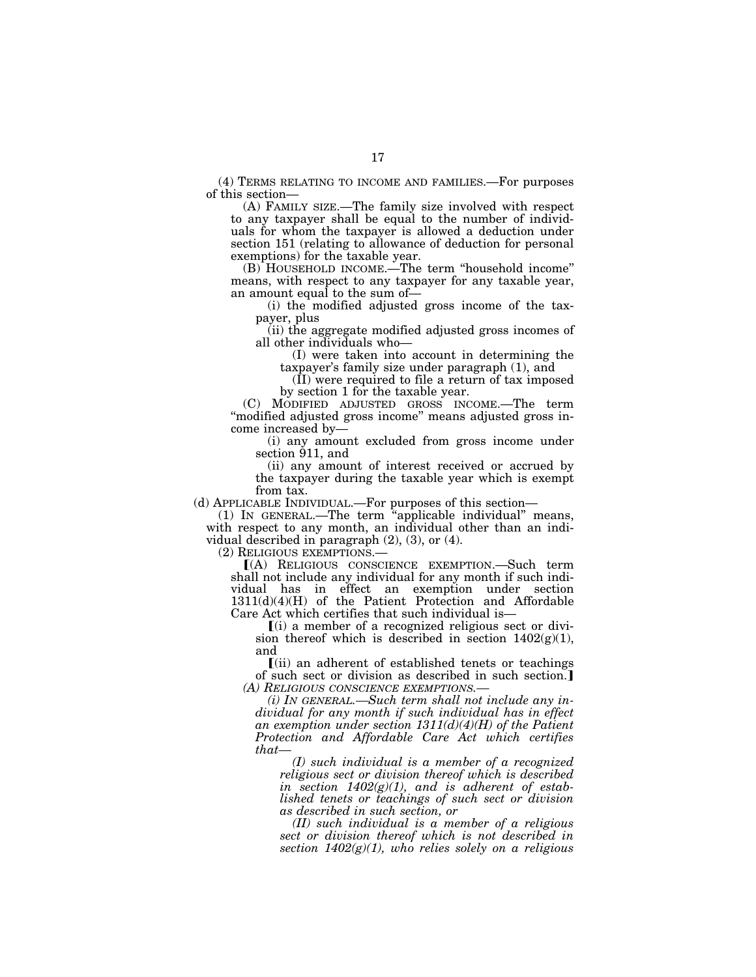(4) TERMS RELATING TO INCOME AND FAMILIES.—For purposes of this section—

(A) FAMILY SIZE.—The family size involved with respect to any taxpayer shall be equal to the number of individuals for whom the taxpayer is allowed a deduction under section 151 (relating to allowance of deduction for personal exemptions) for the taxable year.

(B) HOUSEHOLD INCOME.—The term ''household income'' means, with respect to any taxpayer for any taxable year, an amount equal to the sum of—

(i) the modified adjusted gross income of the taxpayer, plus

(ii) the aggregate modified adjusted gross incomes of all other individuals who—

(I) were taken into account in determining the taxpayer's family size under paragraph (1), and

(II) were required to file a return of tax imposed by section 1 for the taxable year.

(C) MODIFIED ADJUSTED GROSS INCOME.—The term ''modified adjusted gross income'' means adjusted gross income increased by—

(i) any amount excluded from gross income under section 911, and

(ii) any amount of interest received or accrued by the taxpayer during the taxable year which is exempt from tax.

(d) APPLICABLE INDIVIDUAL.—For purposes of this section—

(1) IN GENERAL.—The term ''applicable individual'' means, with respect to any month, an individual other than an individual described in paragraph (2), (3), or (4).

(2) RELIGIOUS EXEMPTIONS.—<br>
[(A) RELIGIOUS CONSCIENCE EXEMPTION.—Such term shall not include any individual for any month if such individual has in effect an exemption under section 1311(d)(4)(H) of the Patient Protection and Affordable Care Act which certifies that such individual is—

 $(i)$  a member of a recognized religious sect or division thereof which is described in section  $1402(g)(1)$ , and

 $(iii)$  an adherent of established tenets or teachings of such sect or division as described in such section. *(A) RELIGIOUS CONSCIENCE EXEMPTIONS.—* 

*(i) IN GENERAL.—Such term shall not include any individual for any month if such individual has in effect an exemption under section 1311(d)(4)(H) of the Patient Protection and Affordable Care Act which certifies that—* 

*(I) such individual is a member of a recognized religious sect or division thereof which is described in section 1402(g)(1), and is adherent of established tenets or teachings of such sect or division as described in such section, or* 

*(II) such individual is a member of a religious sect or division thereof which is not described in section 1402(g)(1), who relies solely on a religious*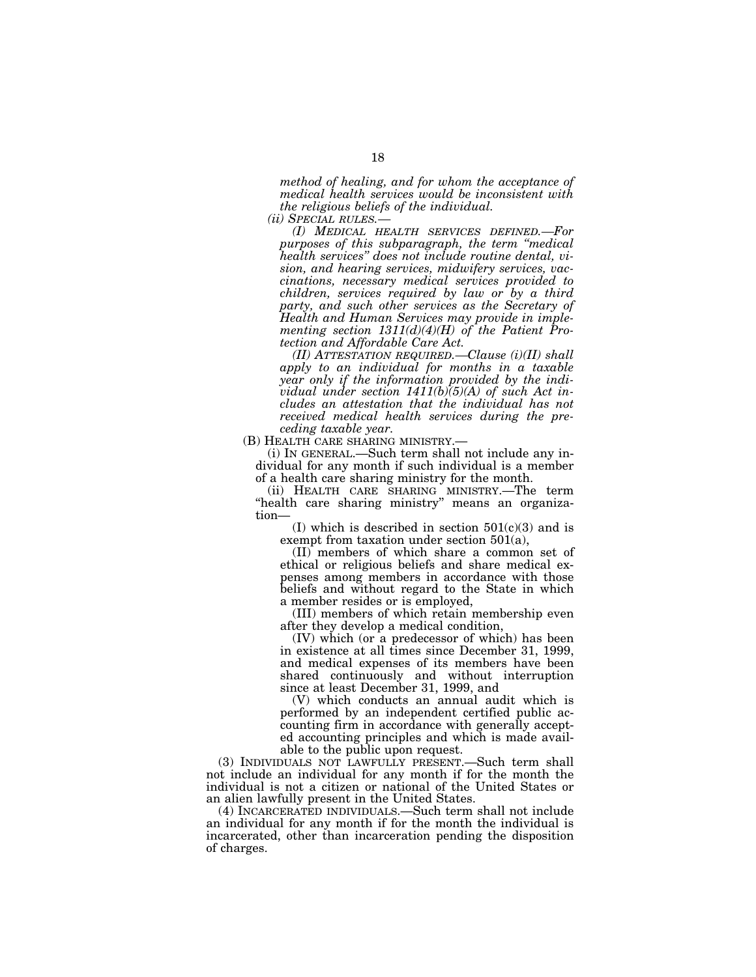*method of healing, and for whom the acceptance of medical health services would be inconsistent with the religious beliefs of the individual.* 

*(ii) SPECIAL RULES.— (I) MEDICAL HEALTH SERVICES DEFINED.—For purposes of this subparagraph, the term ''medical health services'' does not include routine dental, vision, and hearing services, midwifery services, vaccinations, necessary medical services provided to children, services required by law or by a third party, and such other services as the Secretary of Health and Human Services may provide in implementing section 1311(d)(4)(H) of the Patient Protection and Affordable Care Act.* 

*(II) ATTESTATION REQUIRED.—Clause (i)(II) shall apply to an individual for months in a taxable year only if the information provided by the individual under section 1411(b)(5)(A) of such Act includes an attestation that the individual has not received medical health services during the pre-*

*ceding taxable year.* 

(i) IN GENERAL.—Such term shall not include any individual for any month if such individual is a member of a health care sharing ministry for the month.

(ii) HEALTH CARE SHARING MINISTRY.—The term ''health care sharing ministry'' means an organization—

(I) which is described in section  $501(c)(3)$  and is exempt from taxation under section 501(a),

(II) members of which share a common set of ethical or religious beliefs and share medical expenses among members in accordance with those beliefs and without regard to the State in which a member resides or is employed,

(III) members of which retain membership even after they develop a medical condition,

(IV) which (or a predecessor of which) has been in existence at all times since December 31, 1999, and medical expenses of its members have been shared continuously and without interruption since at least December 31, 1999, and

(V) which conducts an annual audit which is performed by an independent certified public accounting firm in accordance with generally accepted accounting principles and which is made available to the public upon request.

(3) INDIVIDUALS NOT LAWFULLY PRESENT.—Such term shall not include an individual for any month if for the month the individual is not a citizen or national of the United States or an alien lawfully present in the United States.

(4) INCARCERATED INDIVIDUALS.—Such term shall not include an individual for any month if for the month the individual is incarcerated, other than incarceration pending the disposition of charges.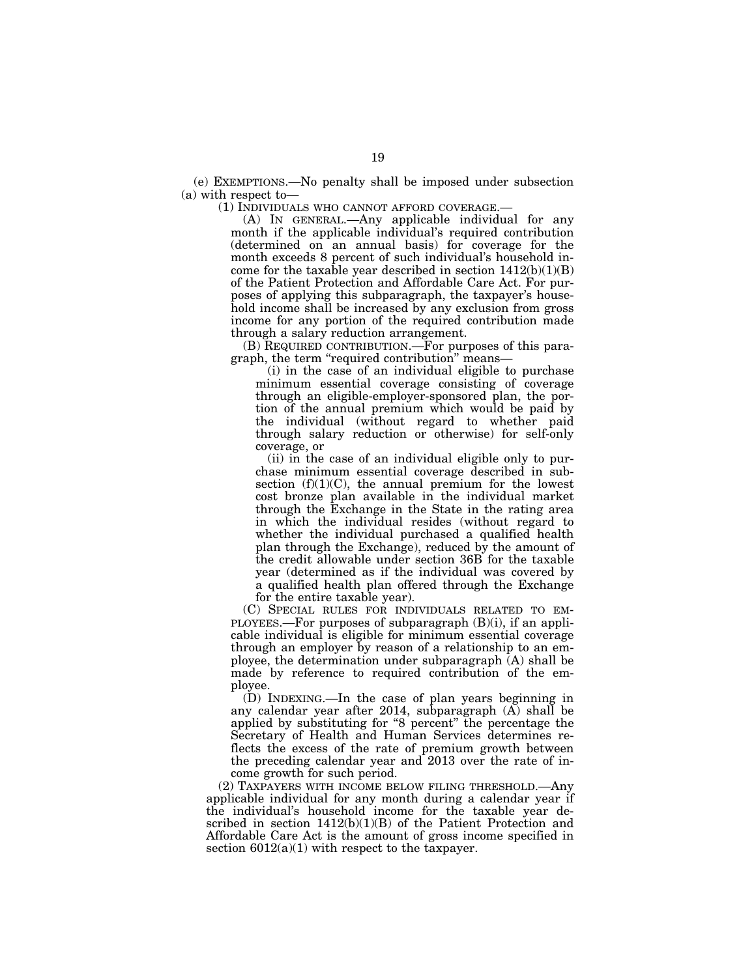(e) EXEMPTIONS.—No penalty shall be imposed under subsection (a) with respect to—

(1) INDIVIDUALS WHO CANNOT AFFORD COVERAGE.—

(A) IN GENERAL.—Any applicable individual for any month if the applicable individual's required contribution (determined on an annual basis) for coverage for the month exceeds 8 percent of such individual's household income for the taxable year described in section  $1412(b)(1)(B)$ of the Patient Protection and Affordable Care Act. For purposes of applying this subparagraph, the taxpayer's household income shall be increased by any exclusion from gross income for any portion of the required contribution made through a salary reduction arrangement.

(B) REQUIRED CONTRIBUTION.—For purposes of this paragraph, the term "required contribution" means-

(i) in the case of an individual eligible to purchase minimum essential coverage consisting of coverage through an eligible-employer-sponsored plan, the portion of the annual premium which would be paid by the individual (without regard to whether paid through salary reduction or otherwise) for self-only coverage, or

(ii) in the case of an individual eligible only to purchase minimum essential coverage described in subsection  $(f)(1)(C)$ , the annual premium for the lowest cost bronze plan available in the individual market through the Exchange in the State in the rating area in which the individual resides (without regard to whether the individual purchased a qualified health plan through the Exchange), reduced by the amount of the credit allowable under section 36B for the taxable year (determined as if the individual was covered by a qualified health plan offered through the Exchange for the entire taxable year).

(C) SPECIAL RULES FOR INDIVIDUALS RELATED TO EM-PLOYEES.—For purposes of subparagraph  $(B)(i)$ , if an applicable individual is eligible for minimum essential coverage through an employer by reason of a relationship to an employee, the determination under subparagraph (A) shall be made by reference to required contribution of the employee.

(D) INDEXING.—In the case of plan years beginning in any calendar year after 2014, subparagraph (A) shall be applied by substituting for "8 percent" the percentage the Secretary of Health and Human Services determines reflects the excess of the rate of premium growth between the preceding calendar year and 2013 over the rate of income growth for such period.

(2) TAXPAYERS WITH INCOME BELOW FILING THRESHOLD.—Any applicable individual for any month during a calendar year if the individual's household income for the taxable year described in section  $1412(b)(1)(B)$  of the Patient Protection and Affordable Care Act is the amount of gross income specified in section  $6012(a)(1)$  with respect to the taxpayer.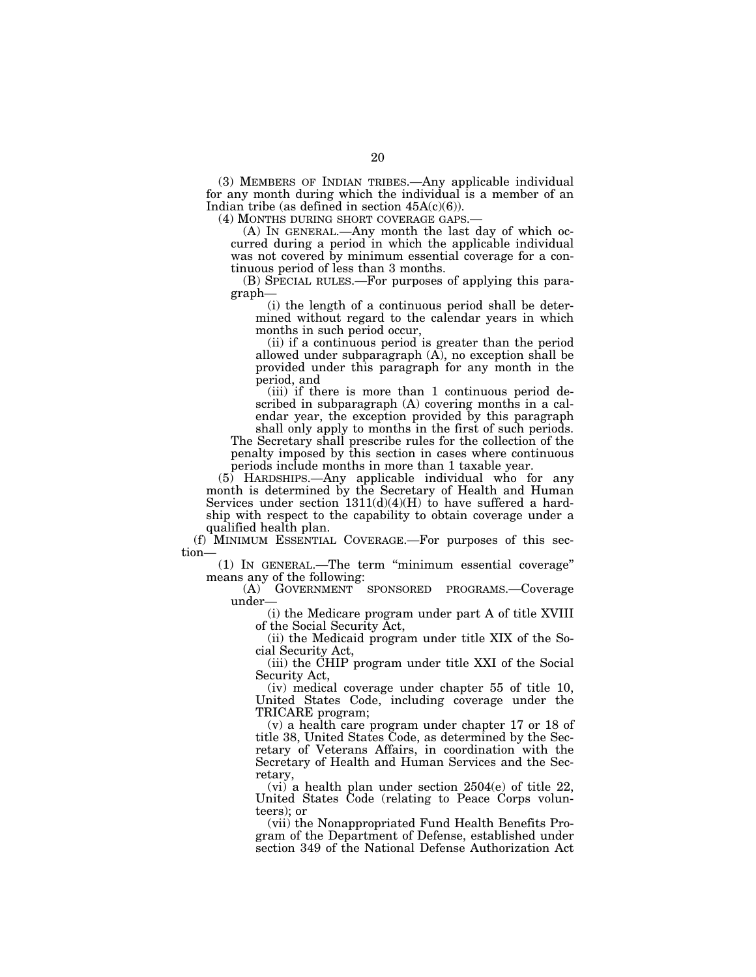(3) MEMBERS OF INDIAN TRIBES.—Any applicable individual for any month during which the individual is a member of an Indian tribe (as defined in section  $45A(c)(6)$ ).<br>(4) MONTHS DURING SHORT COVERAGE GAPS.

 $(A)$  In GENERAL.—Any month the last day of which occurred during a period in which the applicable individual was not covered by minimum essential coverage for a continuous period of less than 3 months.

(B) SPECIAL RULES.—For purposes of applying this paragraph—

(i) the length of a continuous period shall be determined without regard to the calendar years in which months in such period occur,

(ii) if a continuous period is greater than the period allowed under subparagraph  $(A)$ , no exception shall be provided under this paragraph for any month in the period, and

(iii) if there is more than 1 continuous period described in subparagraph (A) covering months in a calendar year, the exception provided by this paragraph

shall only apply to months in the first of such periods. The Secretary shall prescribe rules for the collection of the penalty imposed by this section in cases where continuous periods include months in more than 1 taxable year.

(5) HARDSHIPS.—Any applicable individual who for any month is determined by the Secretary of Health and Human Services under section  $1311(d)(4)(H)$  to have suffered a hardship with respect to the capability to obtain coverage under a qualified health plan.

(f) MINIMUM ESSENTIAL COVERAGE.—For purposes of this section—

(1) IN GENERAL.—The term ''minimum essential coverage'' means any of the following:

(A) GOVERNMENT SPONSORED PROGRAMS.—Coverage under—

(i) the Medicare program under part A of title XVIII of the Social Security Act,

(ii) the Medicaid program under title XIX of the Social Security Act,

(iii) the CHIP program under title XXI of the Social Security Act,

(iv) medical coverage under chapter 55 of title 10, United States Code, including coverage under the TRICARE program;

(v) a health care program under chapter 17 or 18 of title 38, United States Code, as determined by the Secretary of Veterans Affairs, in coordination with the Secretary of Health and Human Services and the Secretary,

(vi) a health plan under section 2504(e) of title 22, United States Code (relating to Peace Corps volunteers); or

(vii) the Nonappropriated Fund Health Benefits Program of the Department of Defense, established under section 349 of the National Defense Authorization Act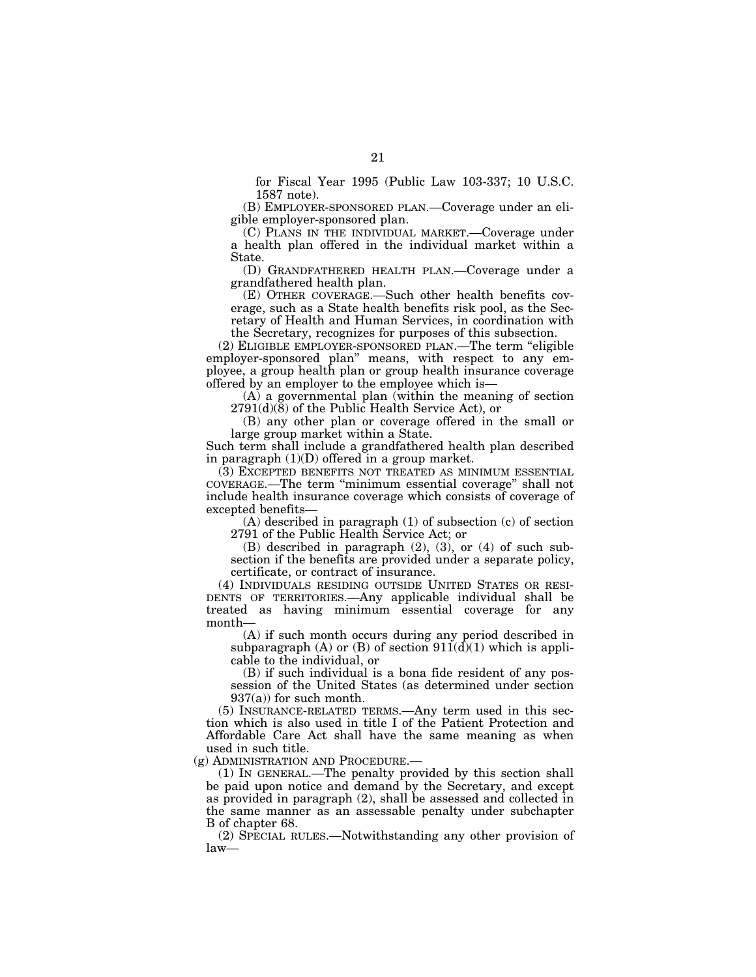for Fiscal Year 1995 (Public Law 103-337; 10 U.S.C. 1587 note).

(B) EMPLOYER-SPONSORED PLAN.—Coverage under an eligible employer-sponsored plan.

(C) PLANS IN THE INDIVIDUAL MARKET.—Coverage under a health plan offered in the individual market within a State.

(D) GRANDFATHERED HEALTH PLAN.—Coverage under a grandfathered health plan.

(E) OTHER COVERAGE.—Such other health benefits coverage, such as a State health benefits risk pool, as the Secretary of Health and Human Services, in coordination with the Secretary, recognizes for purposes of this subsection.

(2) ELIGIBLE EMPLOYER-SPONSORED PLAN.—The term ''eligible employer-sponsored plan'' means, with respect to any employee, a group health plan or group health insurance coverage offered by an employer to the employee which is—

(A) a governmental plan (within the meaning of section  $2791(d)(8)$  of the Public Health Service Act), or

(B) any other plan or coverage offered in the small or large group market within a State.

Such term shall include a grandfathered health plan described in paragraph (1)(D) offered in a group market.

(3) EXCEPTED BENEFITS NOT TREATED AS MINIMUM ESSENTIAL COVERAGE.—The term ''minimum essential coverage'' shall not include health insurance coverage which consists of coverage of excepted benefits—

(A) described in paragraph (1) of subsection (c) of section 2791 of the Public Health Service Act; or

(B) described in paragraph (2), (3), or (4) of such subsection if the benefits are provided under a separate policy, certificate, or contract of insurance.

(4) INDIVIDUALS RESIDING OUTSIDE UNITED STATES OR RESI-DENTS OF TERRITORIES.—Any applicable individual shall be treated as having minimum essential coverage for any month—

(A) if such month occurs during any period described in subparagraph  $(A)$  or  $(B)$  of section  $911(d)(1)$  which is applicable to the individual, or

(B) if such individual is a bona fide resident of any possession of the United States (as determined under section 937(a)) for such month.

(5) INSURANCE-RELATED TERMS.—Any term used in this section which is also used in title I of the Patient Protection and Affordable Care Act shall have the same meaning as when used in such title.

(g) ADMINISTRATION AND PROCEDURE.—

(1) IN GENERAL.—The penalty provided by this section shall be paid upon notice and demand by the Secretary, and except as provided in paragraph (2), shall be assessed and collected in the same manner as an assessable penalty under subchapter B of chapter 68.

(2) SPECIAL RULES.—Notwithstanding any other provision of law—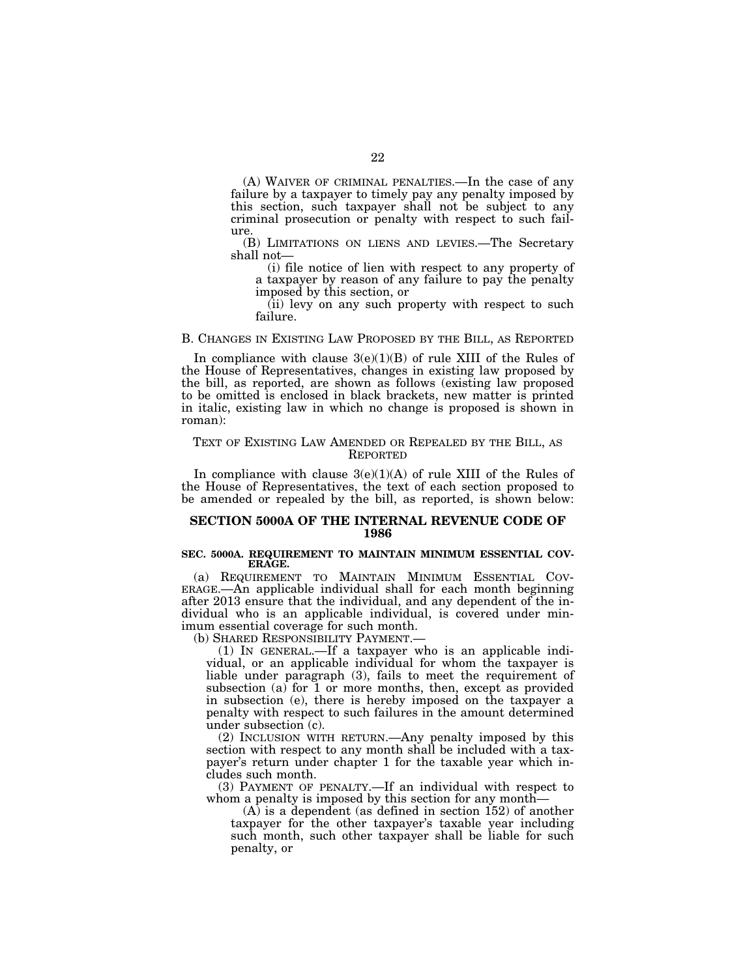(A) WAIVER OF CRIMINAL PENALTIES.—In the case of any failure by a taxpayer to timely pay any penalty imposed by this section, such taxpayer shall not be subject to any criminal prosecution or penalty with respect to such failure.

(B) LIMITATIONS ON LIENS AND LEVIES.—The Secretary shall not—

(i) file notice of lien with respect to any property of a taxpayer by reason of any failure to pay the penalty imposed by this section, or

(ii) levy on any such property with respect to such failure.

### B. CHANGES IN EXISTING LAW PROPOSED BY THE BILL, AS REPORTED

In compliance with clause 3(e)(1)(B) of rule XIII of the Rules of the House of Representatives, changes in existing law proposed by the bill, as reported, are shown as follows (existing law proposed to be omitted is enclosed in black brackets, new matter is printed in italic, existing law in which no change is proposed is shown in roman):

### TEXT OF EXISTING LAW AMENDED OR REPEALED BY THE BILL, AS REPORTED

In compliance with clause  $3(e)(1)(A)$  of rule XIII of the Rules of the House of Representatives, the text of each section proposed to be amended or repealed by the bill, as reported, is shown below:

## **SECTION 5000A OF THE INTERNAL REVENUE CODE OF 1986**

#### **SEC. 5000A. REQUIREMENT TO MAINTAIN MINIMUM ESSENTIAL COV-ERAGE.**

(a) REQUIREMENT TO MAINTAIN MINIMUM ESSENTIAL COV- ERAGE.—An applicable individual shall for each month beginning after 2013 ensure that the individual, and any dependent of the individual who is an applicable individual, is covered under minimum essential coverage for such month.

(b) SHARED RESPONSIBILITY PAYMENT.—

(1) IN GENERAL.—If a taxpayer who is an applicable individual, or an applicable individual for whom the taxpayer is liable under paragraph (3), fails to meet the requirement of subsection  $(a)$  for 1 or more months, then, except as provided in subsection (e), there is hereby imposed on the taxpayer a penalty with respect to such failures in the amount determined under subsection (c).

(2) INCLUSION WITH RETURN.—Any penalty imposed by this section with respect to any month shall be included with a taxpayer's return under chapter 1 for the taxable year which includes such month.

(3) PAYMENT OF PENALTY.—If an individual with respect to whom a penalty is imposed by this section for any month-

(A) is a dependent (as defined in section 152) of another taxpayer for the other taxpayer's taxable year including such month, such other taxpayer shall be liable for such penalty, or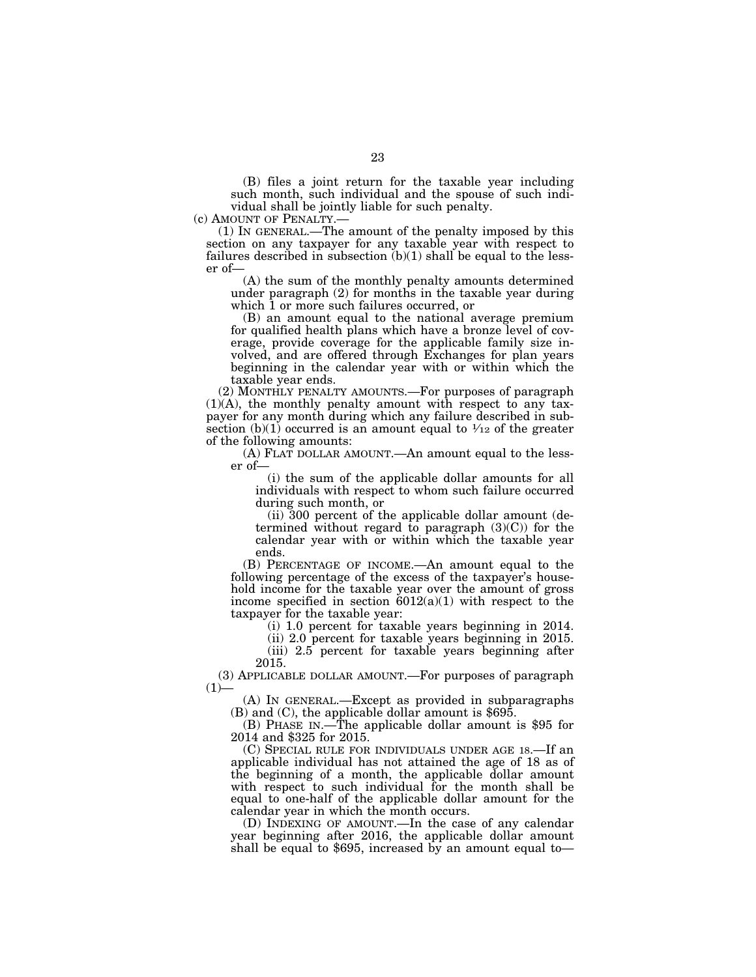(B) files a joint return for the taxable year including such month, such individual and the spouse of such individual shall be jointly liable for such penalty.<br>(c) AMOUNT OF PENALTY.—

(1) IN GENERAL.—The amount of the penalty imposed by this section on any taxpayer for any taxable year with respect to failures described in subsection  $(b)(1)$  shall be equal to the lesser of—

(A) the sum of the monthly penalty amounts determined under paragraph (2) for months in the taxable year during which 1 or more such failures occurred, or

(B) an amount equal to the national average premium for qualified health plans which have a bronze level of coverage, provide coverage for the applicable family size involved, and are offered through Exchanges for plan years beginning in the calendar year with or within which the taxable year ends.

(2) MONTHLY PENALTY AMOUNTS.—For purposes of paragraph (1)(A), the monthly penalty amount with respect to any taxpayer for any month during which any failure described in subsection (b)(1) occurred is an amount equal to  $\frac{1}{12}$  of the greater of the following amounts:

(A) FLAT DOLLAR AMOUNT.—An amount equal to the lesser of—

(i) the sum of the applicable dollar amounts for all individuals with respect to whom such failure occurred during such month, or

(ii) 300 percent of the applicable dollar amount (determined without regard to paragraph  $(3)(C)$  for the calendar year with or within which the taxable year ends.

(B) PERCENTAGE OF INCOME.—An amount equal to the following percentage of the excess of the taxpayer's household income for the taxable year over the amount of gross income specified in section  $6012(a)(1)$  with respect to the taxpayer for the taxable year:

(i) 1.0 percent for taxable years beginning in 2014.

(ii) 2.0 percent for taxable years beginning in 2015. (iii) 2.5 percent for taxable years beginning after 2015.

(3) APPLICABLE DOLLAR AMOUNT.—For purposes of paragraph  $(1)$ —

(A) IN GENERAL.—Except as provided in subparagraphs (B) and (C), the applicable dollar amount is \$695.

(B) PHASE IN.—The applicable dollar amount is \$95 for 2014 and \$325 for 2015.

(C) SPECIAL RULE FOR INDIVIDUALS UNDER AGE 18.—If an applicable individual has not attained the age of 18 as of the beginning of a month, the applicable dollar amount with respect to such individual for the month shall be equal to one-half of the applicable dollar amount for the calendar year in which the month occurs.

(D) INDEXING OF AMOUNT.—In the case of any calendar year beginning after 2016, the applicable dollar amount shall be equal to  $$695$ , increased by an amount equal to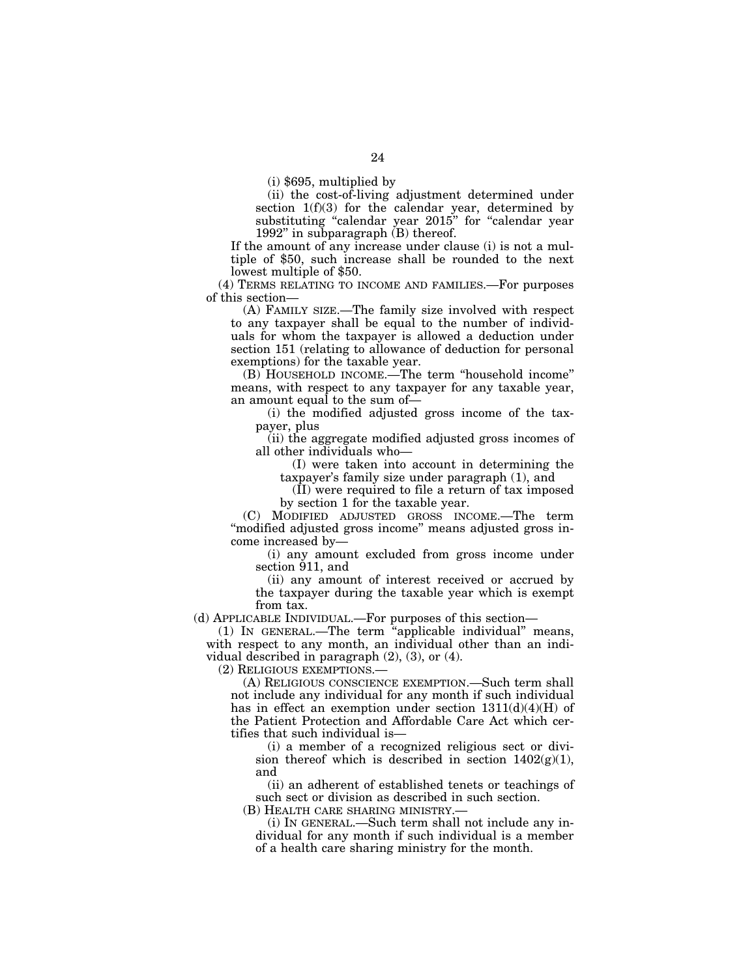(i) \$695, multiplied by

(ii) the cost-of-living adjustment determined under section 1(f)(3) for the calendar year, determined by substituting "calendar year 2015" for "calendar year 1992'' in subparagraph (B) thereof.

If the amount of any increase under clause (i) is not a multiple of \$50, such increase shall be rounded to the next lowest multiple of \$50.

(4) TERMS RELATING TO INCOME AND FAMILIES.—For purposes of this section—

(A) FAMILY SIZE.—The family size involved with respect to any taxpayer shall be equal to the number of individuals for whom the taxpayer is allowed a deduction under section 151 (relating to allowance of deduction for personal exemptions) for the taxable year.

(B) HOUSEHOLD INCOME.—The term ''household income'' means, with respect to any taxpayer for any taxable year, an amount equal to the sum of—

(i) the modified adjusted gross income of the taxpayer, plus

(ii) the aggregate modified adjusted gross incomes of all other individuals who—

(I) were taken into account in determining the taxpayer's family size under paragraph (1), and

(II) were required to file a return of tax imposed by section 1 for the taxable year.

(C) MODIFIED ADJUSTED GROSS INCOME.—The term "modified adjusted gross income" means adjusted gross income increased by—

(i) any amount excluded from gross income under section 911, and

(ii) any amount of interest received or accrued by the taxpayer during the taxable year which is exempt from tax.

(d) APPLICABLE INDIVIDUAL.—For purposes of this section—

(1) IN GENERAL.—The term ''applicable individual'' means, with respect to any month, an individual other than an individual described in paragraph (2), (3), or (4).

(2) RELIGIOUS EXEMPTIONS.—

(A) RELIGIOUS CONSCIENCE EXEMPTION.—Such term shall not include any individual for any month if such individual has in effect an exemption under section  $1311(d)(4)(H)$  of the Patient Protection and Affordable Care Act which certifies that such individual is—

(i) a member of a recognized religious sect or division thereof which is described in section  $1402(g)(1)$ , and

(ii) an adherent of established tenets or teachings of such sect or division as described in such section.

(B) HEALTH CARE SHARING MINISTRY.—

(i) IN GENERAL.—Such term shall not include any individual for any month if such individual is a member of a health care sharing ministry for the month.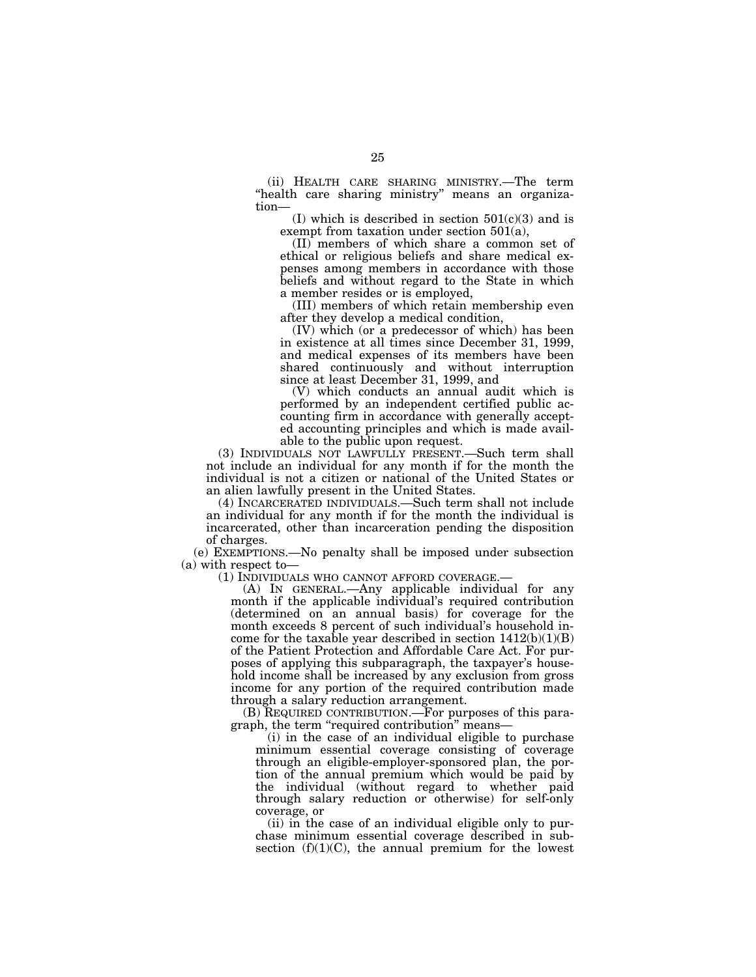(ii) HEALTH CARE SHARING MINISTRY.—The term "health care sharing ministry" means an organization—

(I) which is described in section  $501(c)(3)$  and is exempt from taxation under section 501(a),

(II) members of which share a common set of ethical or religious beliefs and share medical expenses among members in accordance with those beliefs and without regard to the State in which a member resides or is employed,

(III) members of which retain membership even after they develop a medical condition,

(IV) which (or a predecessor of which) has been in existence at all times since December 31, 1999, and medical expenses of its members have been shared continuously and without interruption since at least December 31, 1999, and

(V) which conducts an annual audit which is performed by an independent certified public accounting firm in accordance with generally accepted accounting principles and which is made available to the public upon request.

(3) INDIVIDUALS NOT LAWFULLY PRESENT.—Such term shall not include an individual for any month if for the month the individual is not a citizen or national of the United States or an alien lawfully present in the United States.

(4) INCARCERATED INDIVIDUALS.—Such term shall not include an individual for any month if for the month the individual is incarcerated, other than incarceration pending the disposition of charges.

(e) EXEMPTIONS.—No penalty shall be imposed under subsection (a) with respect to—<br>(1) INDIVIDUALS WHO CANNOT AFFORD COVERAGE.—

 $(A)$  IN GENERAL.—Any applicable individual for any month if the applicable individual's required contribution (determined on an annual basis) for coverage for the month exceeds 8 percent of such individual's household income for the taxable year described in section  $1412(b)(1)(B)$ of the Patient Protection and Affordable Care Act. For purposes of applying this subparagraph, the taxpayer's household income shall be increased by any exclusion from gross income for any portion of the required contribution made through a salary reduction arrangement.

(B) REQUIRED CONTRIBUTION.—For purposes of this paragraph, the term ''required contribution'' means—

(i) in the case of an individual eligible to purchase minimum essential coverage consisting of coverage through an eligible-employer-sponsored plan, the portion of the annual premium which would be paid by the individual (without regard to whether paid through salary reduction or otherwise) for self-only coverage, or

(ii) in the case of an individual eligible only to purchase minimum essential coverage described in subsection  $(f)(1)(C)$ , the annual premium for the lowest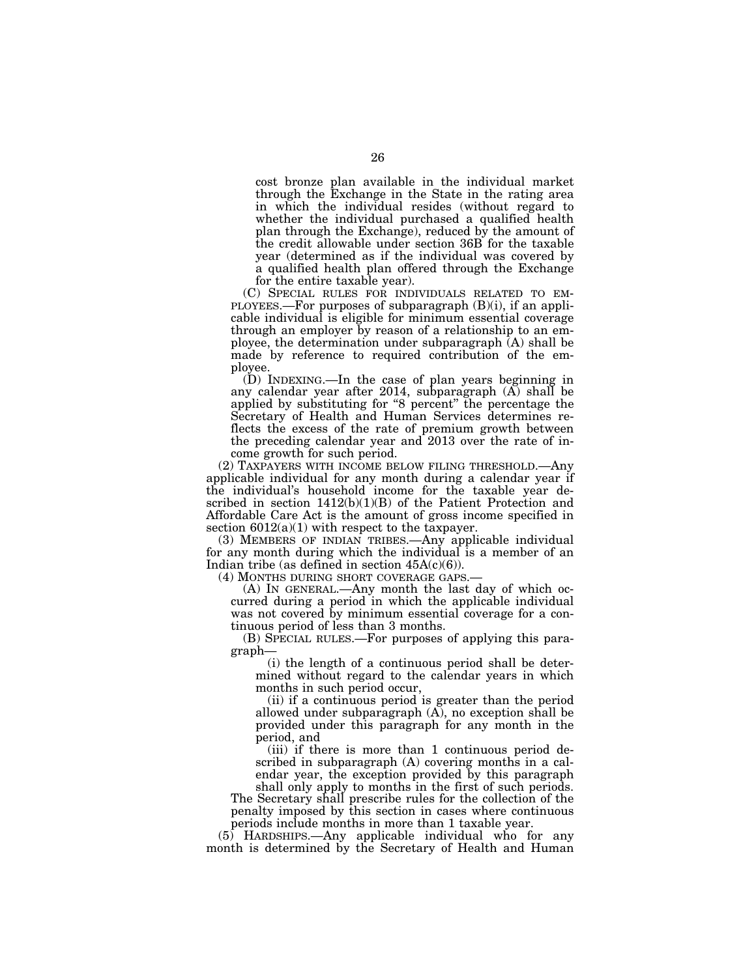cost bronze plan available in the individual market through the Exchange in the State in the rating area in which the individual resides (without regard to whether the individual purchased a qualified health plan through the Exchange), reduced by the amount of the credit allowable under section 36B for the taxable year (determined as if the individual was covered by a qualified health plan offered through the Exchange

for the entire taxable year).<br>(C) SPECIAL RULES FOR INDIVIDUALS RELATED TO EM-(C) SPECIAL RULES FOR INDIVIDUALS RELATED TO EM- PLOYEES.—For purposes of subparagraph (B)(i), if an applicable individual is eligible for minimum essential coverage through an employer by reason of a relationship to an employee, the determination under subparagraph (A) shall be made by reference to required contribution of the employee.

(D) INDEXING.—In the case of plan years beginning in any calendar year after 2014, subparagraph (A) shall be applied by substituting for "8 percent" the percentage the Secretary of Health and Human Services determines reflects the excess of the rate of premium growth between the preceding calendar year and 2013 over the rate of income growth for such period.

(2) TAXPAYERS WITH INCOME BELOW FILING THRESHOLD.—Any applicable individual for any month during a calendar year if the individual's household income for the taxable year described in section 1412(b)(1)(B) of the Patient Protection and Affordable Care Act is the amount of gross income specified in section  $6012(a)(1)$  with respect to the taxpayer.

(3) MEMBERS OF INDIAN TRIBES.—Any applicable individual for any month during which the individual is a member of an Indian tribe (as defined in section  $45A(c)(6)$ ).<br>(4) MONTHS DURING SHORT COVERAGE GAPS.

 $(A)$  In GENERAL.—Any month the last day of which occurred during a period in which the applicable individual was not covered by minimum essential coverage for a continuous period of less than 3 months.

(B) SPECIAL RULES.—For purposes of applying this paragraph—

(i) the length of a continuous period shall be determined without regard to the calendar years in which months in such period occur,

(ii) if a continuous period is greater than the period allowed under subparagraph  $(A)$ , no exception shall be provided under this paragraph for any month in the period, and

(iii) if there is more than 1 continuous period described in subparagraph (A) covering months in a calendar year, the exception provided by this paragraph shall only apply to months in the first of such periods.

The Secretary shall prescribe rules for the collection of the penalty imposed by this section in cases where continuous periods include months in more than 1 taxable year.

(5) HARDSHIPS.—Any applicable individual who for any month is determined by the Secretary of Health and Human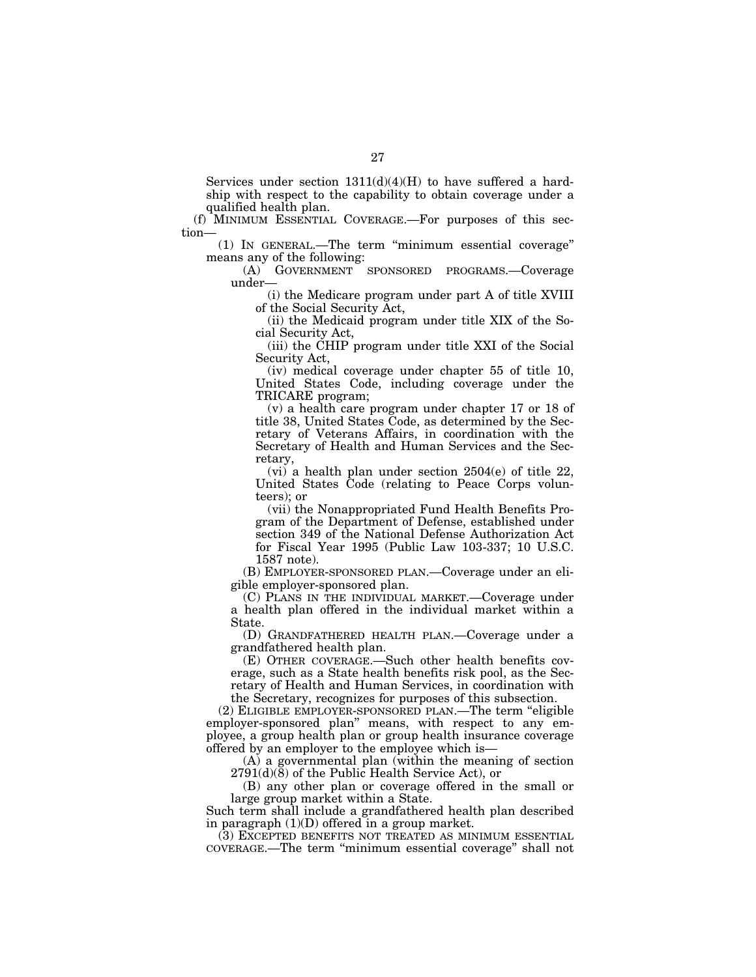Services under section  $1311(d)(4)(H)$  to have suffered a hardship with respect to the capability to obtain coverage under a qualified health plan.

(f) MINIMUM ESSENTIAL COVERAGE.—For purposes of this section—

(1) IN GENERAL.—The term ''minimum essential coverage'' means any of the following:

(A) GOVERNMENT SPONSORED PROGRAMS.—Coverage under—

(i) the Medicare program under part A of title XVIII of the Social Security Act,

(ii) the Medicaid program under title XIX of the Social Security Act,

(iii) the CHIP program under title XXI of the Social Security Act,

(iv) medical coverage under chapter 55 of title 10, United States Code, including coverage under the TRICARE program;

(v) a health care program under chapter 17 or 18 of title 38, United States Code, as determined by the Secretary of Veterans Affairs, in coordination with the Secretary of Health and Human Services and the Secretary,

(vi) a health plan under section 2504(e) of title 22, United States Code (relating to Peace Corps volunteers); or

(vii) the Nonappropriated Fund Health Benefits Program of the Department of Defense, established under section 349 of the National Defense Authorization Act for Fiscal Year 1995 (Public Law 103-337; 10 U.S.C. 1587 note).

(B) EMPLOYER-SPONSORED PLAN.—Coverage under an eligible employer-sponsored plan.

(C) PLANS IN THE INDIVIDUAL MARKET.—Coverage under a health plan offered in the individual market within a State.

(D) GRANDFATHERED HEALTH PLAN.—Coverage under a grandfathered health plan.

(E) OTHER COVERAGE.—Such other health benefits coverage, such as a State health benefits risk pool, as the Secretary of Health and Human Services, in coordination with the Secretary, recognizes for purposes of this subsection.

(2) ELIGIBLE EMPLOYER-SPONSORED PLAN.—The term ''eligible employer-sponsored plan'' means, with respect to any employee, a group health plan or group health insurance coverage offered by an employer to the employee which is—

(A) a governmental plan (within the meaning of section 2791(d)(8) of the Public Health Service Act), or

(B) any other plan or coverage offered in the small or large group market within a State.

Such term shall include a grandfathered health plan described in paragraph (1)(D) offered in a group market.

(3) EXCEPTED BENEFITS NOT TREATED AS MINIMUM ESSENTIAL COVERAGE.—The term ''minimum essential coverage'' shall not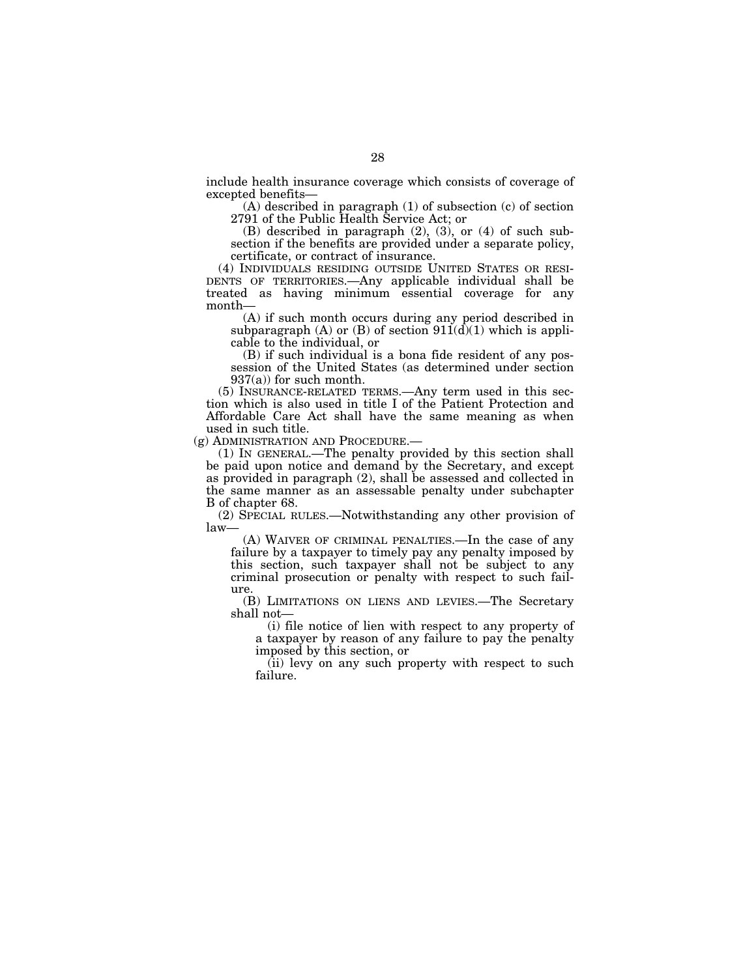include health insurance coverage which consists of coverage of excepted benefits—

(A) described in paragraph (1) of subsection (c) of section 2791 of the Public Health Service Act; or

(B) described in paragraph  $(2)$ ,  $(3)$ , or  $(4)$  of such subsection if the benefits are provided under a separate policy,

certificate, or contract of insurance.<br>(4) INDIVIDUALS RESIDING OUTSIDE UNITED STATES OR RESI-DENTS OF TERRITORIES.—Any applicable individual shall be treated as having minimum essential coverage for any month—

(A) if such month occurs during any period described in subparagraph (A) or (B) of section  $911(d)(1)$  which is applicable to the individual, or

(B) if such individual is a bona fide resident of any possession of the United States (as determined under section  $937(a)$  for such month.

(5) INSURANCE-RELATED TERMS.—Any term used in this section which is also used in title I of the Patient Protection and Affordable Care Act shall have the same meaning as when used in such title.<br>(g) ADMINISTRATION AND PROCEDURE.—

(1) IN GENERAL.—The penalty provided by this section shall be paid upon notice and demand by the Secretary, and except as provided in paragraph (2), shall be assessed and collected in the same manner as an assessable penalty under subchapter B of chapter 68.

(2) SPECIAL RULES.—Notwithstanding any other provision of law—

(A) WAIVER OF CRIMINAL PENALTIES.—In the case of any failure by a taxpayer to timely pay any penalty imposed by this section, such taxpayer shall not be subject to any criminal prosecution or penalty with respect to such failure.

(B) LIMITATIONS ON LIENS AND LEVIES.—The Secretary shall not—

(i) file notice of lien with respect to any property of a taxpayer by reason of any failure to pay the penalty imposed by this section, or

(ii) levy on any such property with respect to such failure.